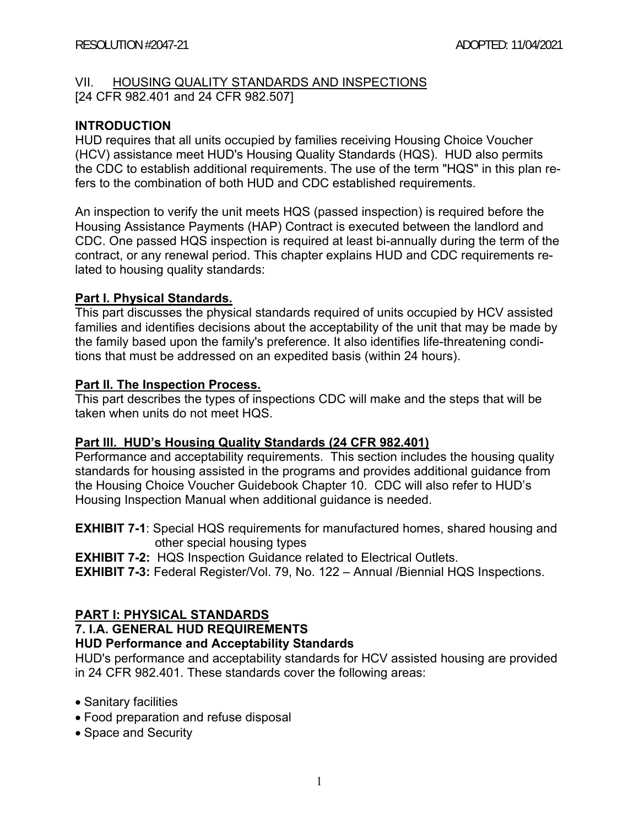#### VII. HOUSING QUALITY STANDARDS AND INSPECTIONS

[24 CFR 982.401 and 24 CFR 982.507]

### **INTRODUCTION**

HUD requires that all units occupied by families receiving Housing Choice Voucher (HCV) assistance meet HUD's Housing Quality Standards (HQS). HUD also permits the CDC to establish additional requirements. The use of the term "HQS" in this plan refers to the combination of both HUD and CDC established requirements.

An inspection to verify the unit meets HQS (passed inspection) is required before the Housing Assistance Payments (HAP) Contract is executed between the landlord and CDC. One passed HQS inspection is required at least bi-annually during the term of the contract, or any renewal period. This chapter explains HUD and CDC requirements related to housing quality standards:

#### **Part I. Physical Standards.**

This part discusses the physical standards required of units occupied by HCV assisted families and identifies decisions about the acceptability of the unit that may be made by the family based upon the family's preference. It also identifies life-threatening conditions that must be addressed on an expedited basis (within 24 hours).

#### **Part II. The Inspection Process.**

This part describes the types of inspections CDC will make and the steps that will be taken when units do not meet HQS.

#### **Part lll. HUD's Housing Quality Standards (24 CFR 982.401)**

Performance and acceptability requirements. This section includes the housing quality standards for housing assisted in the programs and provides additional guidance from the Housing Choice Voucher Guidebook Chapter 10. CDC will also refer to HUD's Housing Inspection Manual when additional guidance is needed.

**EXHIBIT 7-1**: Special HQS requirements for manufactured homes, shared housing and other special housing types

**EXHIBIT 7-2:** HQS Inspection Guidance related to Electrical Outlets.

**EXHIBIT 7-3:** Federal Register/Vol. 79, No. 122 – Annual /Biennial HQS Inspections.

## **PART I: PHYSICAL STANDARDS**

## **7. I.A. GENERAL HUD REQUIREMENTS**

#### **HUD Performance and Acceptability Standards**

HUD's performance and acceptability standards for HCV assisted housing are provided in 24 CFR 982.401. These standards cover the following areas:

- Sanitary facilities
- Food preparation and refuse disposal
- Space and Security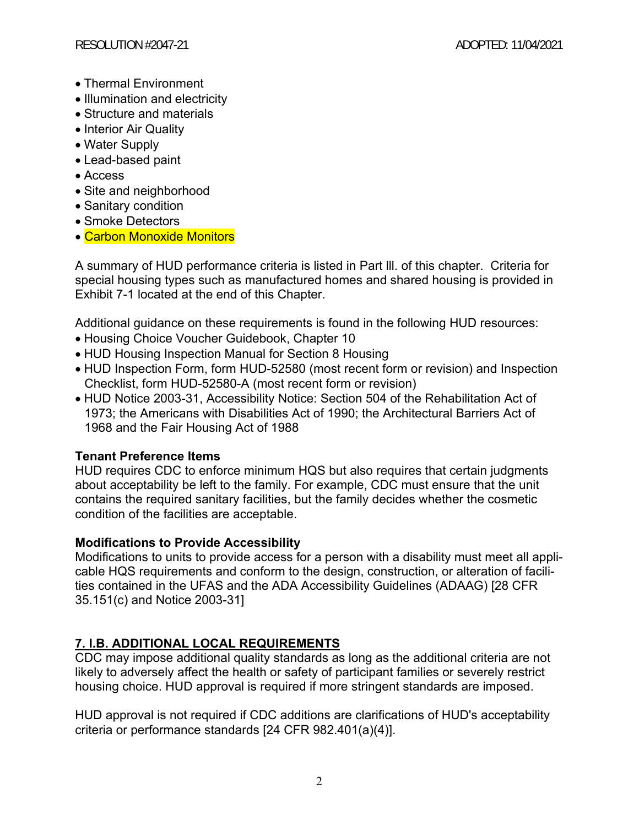- Thermal Environment
- Illumination and electricity
- Structure and materials
- Interior Air Quality
- Water Supply
- Lead-based paint
- Access
- Site and neighborhood
- Sanitary condition
- Smoke Detectors
- Carbon Monoxide Monitors

A summary of HUD performance criteria is listed in Part lll. of this chapter. Criteria for special housing types such as manufactured homes and shared housing is provided in Exhibit 7-1 located at the end of this Chapter.

Additional guidance on these requirements is found in the following HUD resources:

- Housing Choice Voucher Guidebook, Chapter 10
- HUD Housing Inspection Manual for Section 8 Housing
- HUD Inspection Form, form HUD-52580 (most recent form or revision) and Inspection Checklist, form HUD-52580-A (most recent form or revision)
- HUD Notice 2003-31, Accessibility Notice: Section 504 of the Rehabilitation Act of 1973; the Americans with Disabilities Act of 1990; the Architectural Barriers Act of 1968 and the Fair Housing Act of 1988

# **Tenant Preference Items**

HUD requires CDC to enforce minimum HQS but also requires that certain judgments about acceptability be left to the family. For example, CDC must ensure that the unit contains the required sanitary facilities, but the family decides whether the cosmetic condition of the facilities are acceptable.

# **Modifications to Provide Accessibility**

Modifications to units to provide access for a person with a disability must meet all applicable HQS requirements and conform to the design, construction, or alteration of facilities contained in the UFAS and the ADA Accessibility Guidelines (ADAAG) [28 CFR 35.151(c) and Notice 2003-31]

# **7. I.B. ADDITIONAL LOCAL REQUIREMENTS**

CDC may impose additional quality standards as long as the additional criteria are not likely to adversely affect the health or safety of participant families or severely restrict housing choice. HUD approval is required if more stringent standards are imposed.

HUD approval is not required if CDC additions are clarifications of HUD's acceptability criteria or performance standards [24 CFR 982.401(a)(4)].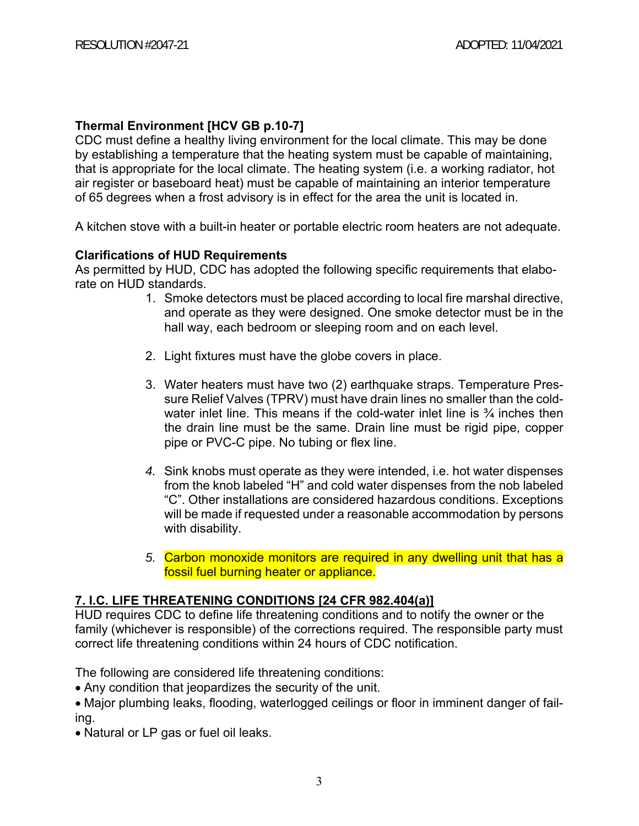## **Thermal Environment [HCV GB p.10-7]**

CDC must define a healthy living environment for the local climate. This may be done by establishing a temperature that the heating system must be capable of maintaining, that is appropriate for the local climate. The heating system (i.e. a working radiator, hot air register or baseboard heat) must be capable of maintaining an interior temperature of 65 degrees when a frost advisory is in effect for the area the unit is located in.

A kitchen stove with a built-in heater or portable electric room heaters are not adequate.

## **Clarifications of HUD Requirements**

As permitted by HUD, CDC has adopted the following specific requirements that elaborate on HUD standards.

- 1. Smoke detectors must be placed according to local fire marshal directive, and operate as they were designed. One smoke detector must be in the hall way, each bedroom or sleeping room and on each level.
- 2. Light fixtures must have the globe covers in place.
- 3. Water heaters must have two (2) earthquake straps. Temperature Pressure Relief Valves (TPRV) must have drain lines no smaller than the coldwater inlet line. This means if the cold-water inlet line is  $\frac{3}{4}$  inches then the drain line must be the same. Drain line must be rigid pipe, copper pipe or PVC-C pipe. No tubing or flex line.
- *4.* Sink knobs must operate as they were intended, i.e. hot water dispenses from the knob labeled "H" and cold water dispenses from the nob labeled "C". Other installations are considered hazardous conditions. Exceptions will be made if requested under a reasonable accommodation by persons with disability.
- *5.* Carbon monoxide monitors are required in any dwelling unit that has a fossil fuel burning heater or appliance.

## **7. I.C. LIFE THREATENING CONDITIONS [24 CFR 982.404(a)]**

HUD requires CDC to define life threatening conditions and to notify the owner or the family (whichever is responsible) of the corrections required. The responsible party must correct life threatening conditions within 24 hours of CDC notification.

The following are considered life threatening conditions:

Any condition that jeopardizes the security of the unit.

Major plumbing leaks, flooding, waterlogged ceilings or floor in imminent danger of failing.

• Natural or LP gas or fuel oil leaks.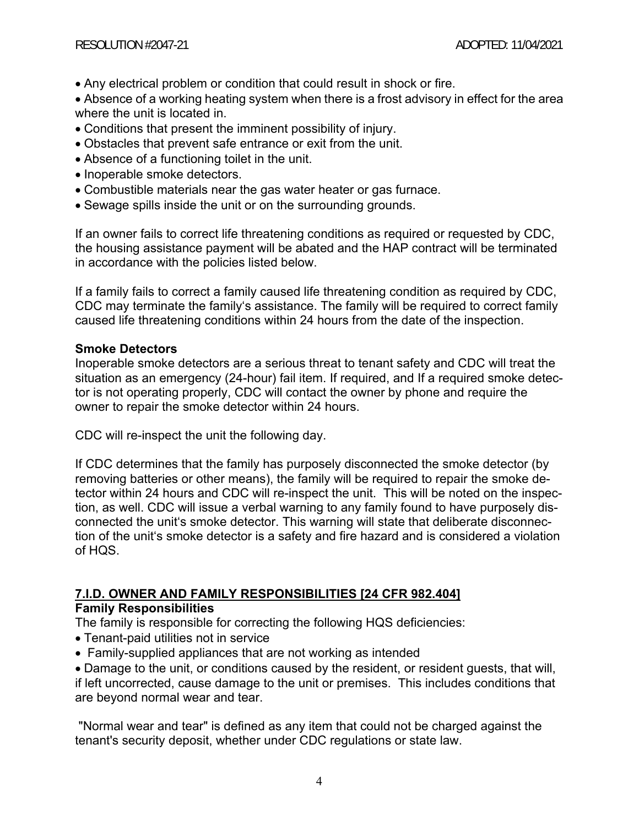- Any electrical problem or condition that could result in shock or fire.
- Absence of a working heating system when there is a frost advisory in effect for the area where the unit is located in.
- Conditions that present the imminent possibility of injury.
- Obstacles that prevent safe entrance or exit from the unit.
- Absence of a functioning toilet in the unit.
- Inoperable smoke detectors.
- Combustible materials near the gas water heater or gas furnace.
- Sewage spills inside the unit or on the surrounding grounds.

If an owner fails to correct life threatening conditions as required or requested by CDC, the housing assistance payment will be abated and the HAP contract will be terminated in accordance with the policies listed below.

If a family fails to correct a family caused life threatening condition as required by CDC, CDC may terminate the family's assistance. The family will be required to correct family caused life threatening conditions within 24 hours from the date of the inspection.

## **Smoke Detectors**

Inoperable smoke detectors are a serious threat to tenant safety and CDC will treat the situation as an emergency (24-hour) fail item. If required, and If a required smoke detector is not operating properly, CDC will contact the owner by phone and require the owner to repair the smoke detector within 24 hours.

CDC will re-inspect the unit the following day.

If CDC determines that the family has purposely disconnected the smoke detector (by removing batteries or other means), the family will be required to repair the smoke detector within 24 hours and CDC will re-inspect the unit. This will be noted on the inspection, as well. CDC will issue a verbal warning to any family found to have purposely disconnected the unit's smoke detector. This warning will state that deliberate disconnection of the unit's smoke detector is a safety and fire hazard and is considered a violation of HQS.

#### **7.I.D. OWNER AND FAMILY RESPONSIBILITIES [24 CFR 982.404] Family Responsibilities**

The family is responsible for correcting the following HQS deficiencies:

- Tenant-paid utilities not in service
- Family-supplied appliances that are not working as intended

Damage to the unit, or conditions caused by the resident, or resident guests, that will, if left uncorrected, cause damage to the unit or premises. This includes conditions that are beyond normal wear and tear.

 "Normal wear and tear" is defined as any item that could not be charged against the tenant's security deposit, whether under CDC regulations or state law.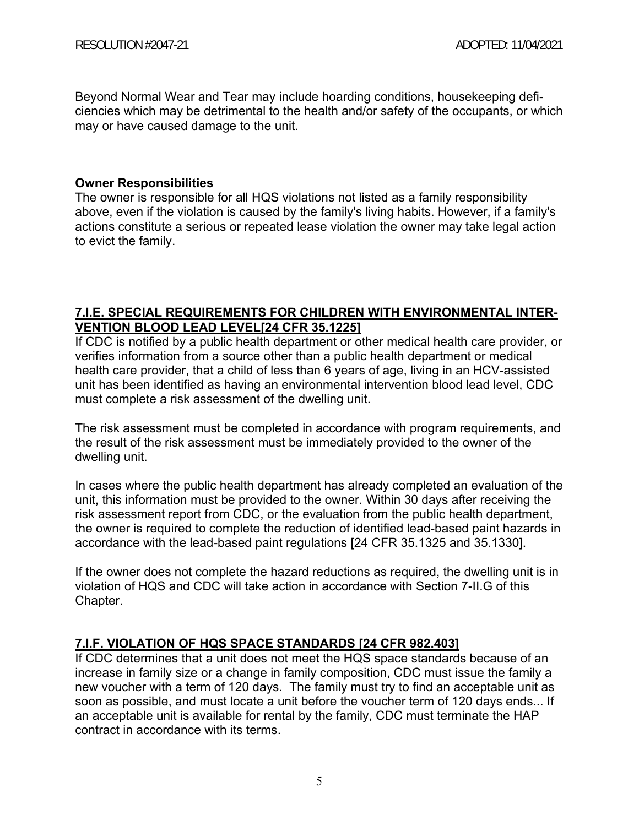Beyond Normal Wear and Tear may include hoarding conditions, housekeeping deficiencies which may be detrimental to the health and/or safety of the occupants, or which may or have caused damage to the unit.

### **Owner Responsibilities**

The owner is responsible for all HQS violations not listed as a family responsibility above, even if the violation is caused by the family's living habits. However, if a family's actions constitute a serious or repeated lease violation the owner may take legal action to evict the family.

## **7.I.E. SPECIAL REQUIREMENTS FOR CHILDREN WITH ENVIRONMENTAL INTER-VENTION BLOOD LEAD LEVEL[24 CFR 35.1225]**

If CDC is notified by a public health department or other medical health care provider, or verifies information from a source other than a public health department or medical health care provider, that a child of less than 6 years of age, living in an HCV-assisted unit has been identified as having an environmental intervention blood lead level, CDC must complete a risk assessment of the dwelling unit.

The risk assessment must be completed in accordance with program requirements, and the result of the risk assessment must be immediately provided to the owner of the dwelling unit.

In cases where the public health department has already completed an evaluation of the unit, this information must be provided to the owner. Within 30 days after receiving the risk assessment report from CDC, or the evaluation from the public health department, the owner is required to complete the reduction of identified lead-based paint hazards in accordance with the lead-based paint regulations [24 CFR 35.1325 and 35.1330].

If the owner does not complete the hazard reductions as required, the dwelling unit is in violation of HQS and CDC will take action in accordance with Section 7-II.G of this Chapter.

## **7.I.F. VIOLATION OF HQS SPACE STANDARDS [24 CFR 982.403]**

If CDC determines that a unit does not meet the HQS space standards because of an increase in family size or a change in family composition, CDC must issue the family a new voucher with a term of 120 days. The family must try to find an acceptable unit as soon as possible, and must locate a unit before the voucher term of 120 days ends... If an acceptable unit is available for rental by the family, CDC must terminate the HAP contract in accordance with its terms.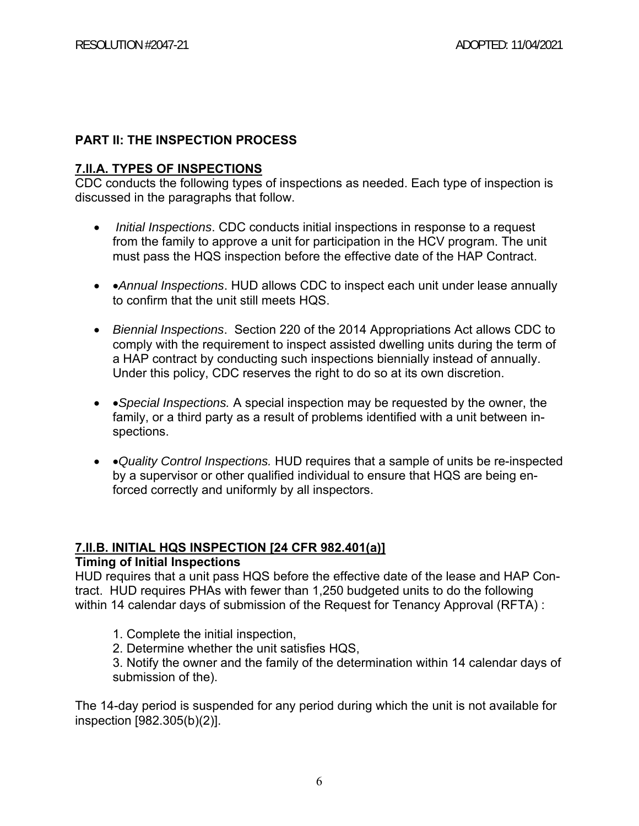## **PART II: THE INSPECTION PROCESS**

## **7.ll.A. TYPES OF INSPECTIONS**

CDC conducts the following types of inspections as needed. Each type of inspection is discussed in the paragraphs that follow.

- *Initial Inspections*. CDC conducts initial inspections in response to a request from the family to approve a unit for participation in the HCV program. The unit must pass the HQS inspection before the effective date of the HAP Contract.
- *Annual Inspections*. HUD allows CDC to inspect each unit under lease annually to confirm that the unit still meets HQS.
- *Biennial Inspections*. Section 220 of the 2014 Appropriations Act allows CDC to comply with the requirement to inspect assisted dwelling units during the term of a HAP contract by conducting such inspections biennially instead of annually. Under this policy, CDC reserves the right to do so at its own discretion.
- *Special Inspections.* A special inspection may be requested by the owner, the family, or a third party as a result of problems identified with a unit between inspections.
- *Quality Control Inspections.* HUD requires that a sample of units be re-inspected by a supervisor or other qualified individual to ensure that HQS are being enforced correctly and uniformly by all inspectors.

## **7.II.B. INITIAL HQS INSPECTION [24 CFR 982.401(a)]**

## **Timing of Initial Inspections**

HUD requires that a unit pass HQS before the effective date of the lease and HAP Contract. HUD requires PHAs with fewer than 1,250 budgeted units to do the following within 14 calendar days of submission of the Request for Tenancy Approval (RFTA) :

- 1. Complete the initial inspection,
- 2. Determine whether the unit satisfies HQS,

3. Notify the owner and the family of the determination within 14 calendar days of submission of the).

The 14-day period is suspended for any period during which the unit is not available for inspection [982.305(b)(2)].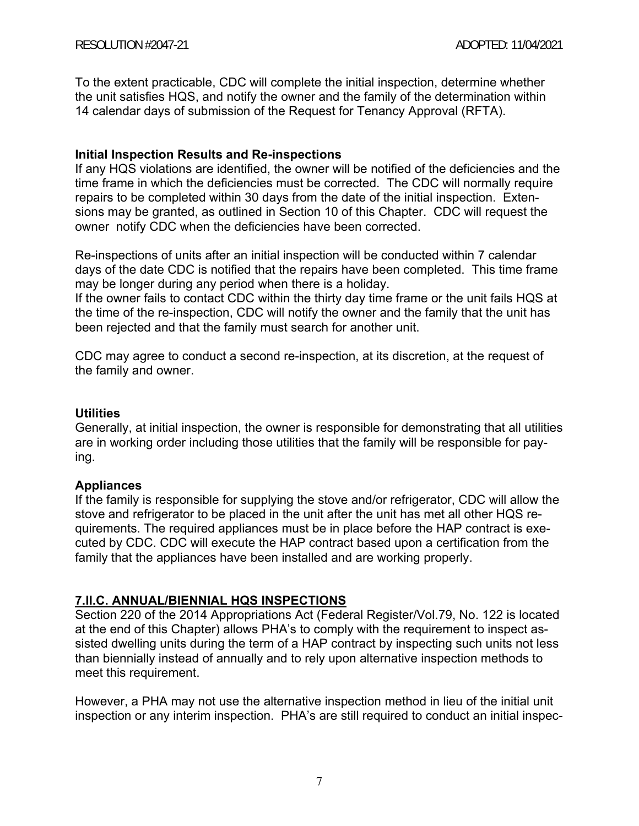To the extent practicable, CDC will complete the initial inspection, determine whether the unit satisfies HQS, and notify the owner and the family of the determination within 14 calendar days of submission of the Request for Tenancy Approval (RFTA).

#### **Initial Inspection Results and Re-inspections**

If any HQS violations are identified, the owner will be notified of the deficiencies and the time frame in which the deficiencies must be corrected. The CDC will normally require repairs to be completed within 30 days from the date of the initial inspection. Extensions may be granted, as outlined in Section 10 of this Chapter. CDC will request the owner notify CDC when the deficiencies have been corrected.

Re-inspections of units after an initial inspection will be conducted within 7 calendar days of the date CDC is notified that the repairs have been completed. This time frame may be longer during any period when there is a holiday.

If the owner fails to contact CDC within the thirty day time frame or the unit fails HQS at the time of the re-inspection, CDC will notify the owner and the family that the unit has been rejected and that the family must search for another unit.

CDC may agree to conduct a second re-inspection, at its discretion, at the request of the family and owner.

#### **Utilities**

Generally, at initial inspection, the owner is responsible for demonstrating that all utilities are in working order including those utilities that the family will be responsible for paying.

#### **Appliances**

If the family is responsible for supplying the stove and/or refrigerator, CDC will allow the stove and refrigerator to be placed in the unit after the unit has met all other HQS requirements. The required appliances must be in place before the HAP contract is executed by CDC. CDC will execute the HAP contract based upon a certification from the family that the appliances have been installed and are working properly.

## **7.II.C. ANNUAL/BIENNIAL HQS INSPECTIONS**

Section 220 of the 2014 Appropriations Act (Federal Register/Vol.79, No. 122 is located at the end of this Chapter) allows PHA's to comply with the requirement to inspect assisted dwelling units during the term of a HAP contract by inspecting such units not less than biennially instead of annually and to rely upon alternative inspection methods to meet this requirement.

However, a PHA may not use the alternative inspection method in lieu of the initial unit inspection or any interim inspection. PHA's are still required to conduct an initial inspec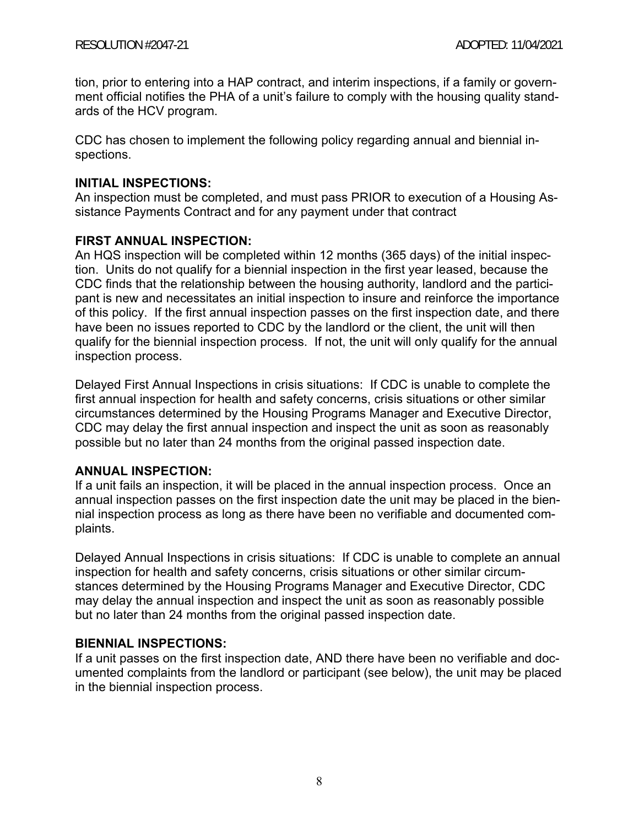tion, prior to entering into a HAP contract, and interim inspections, if a family or government official notifies the PHA of a unit's failure to comply with the housing quality standards of the HCV program.

CDC has chosen to implement the following policy regarding annual and biennial inspections.

### **INITIAL INSPECTIONS:**

An inspection must be completed, and must pass PRIOR to execution of a Housing Assistance Payments Contract and for any payment under that contract

## **FIRST ANNUAL INSPECTION:**

An HQS inspection will be completed within 12 months (365 days) of the initial inspection. Units do not qualify for a biennial inspection in the first year leased, because the CDC finds that the relationship between the housing authority, landlord and the participant is new and necessitates an initial inspection to insure and reinforce the importance of this policy. If the first annual inspection passes on the first inspection date, and there have been no issues reported to CDC by the landlord or the client, the unit will then qualify for the biennial inspection process. If not, the unit will only qualify for the annual inspection process.

Delayed First Annual Inspections in crisis situations: If CDC is unable to complete the first annual inspection for health and safety concerns, crisis situations or other similar circumstances determined by the Housing Programs Manager and Executive Director, CDC may delay the first annual inspection and inspect the unit as soon as reasonably possible but no later than 24 months from the original passed inspection date.

## **ANNUAL INSPECTION:**

If a unit fails an inspection, it will be placed in the annual inspection process. Once an annual inspection passes on the first inspection date the unit may be placed in the biennial inspection process as long as there have been no verifiable and documented complaints.

Delayed Annual Inspections in crisis situations: If CDC is unable to complete an annual inspection for health and safety concerns, crisis situations or other similar circumstances determined by the Housing Programs Manager and Executive Director, CDC may delay the annual inspection and inspect the unit as soon as reasonably possible but no later than 24 months from the original passed inspection date.

## **BIENNIAL INSPECTIONS:**

If a unit passes on the first inspection date, AND there have been no verifiable and documented complaints from the landlord or participant (see below), the unit may be placed in the biennial inspection process.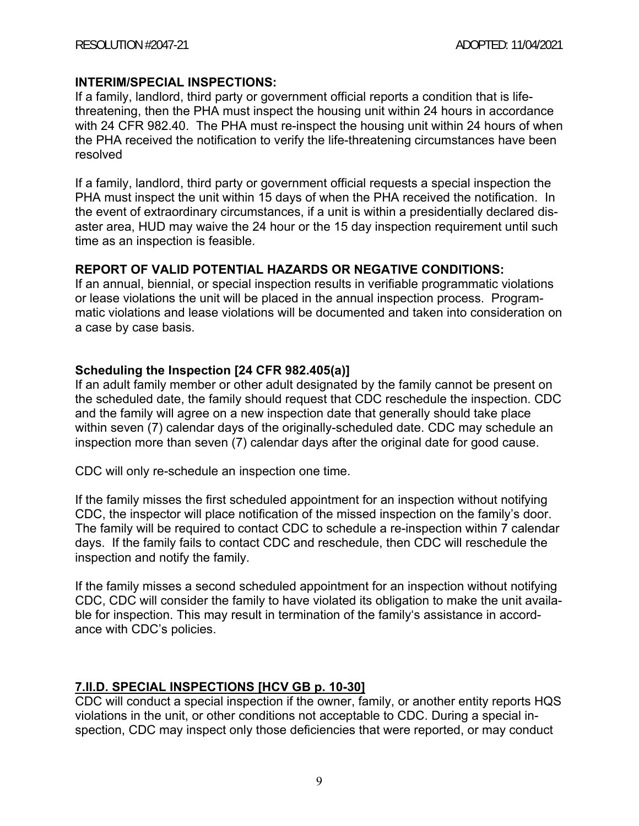### **INTERIM/SPECIAL INSPECTIONS:**

If a family, landlord, third party or government official reports a condition that is lifethreatening, then the PHA must inspect the housing unit within 24 hours in accordance with 24 CFR 982.40. The PHA must re-inspect the housing unit within 24 hours of when the PHA received the notification to verify the life-threatening circumstances have been resolved

If a family, landlord, third party or government official requests a special inspection the PHA must inspect the unit within 15 days of when the PHA received the notification. In the event of extraordinary circumstances, if a unit is within a presidentially declared disaster area, HUD may waive the 24 hour or the 15 day inspection requirement until such time as an inspection is feasible.

## **REPORT OF VALID POTENTIAL HAZARDS OR NEGATIVE CONDITIONS:**

If an annual, biennial, or special inspection results in verifiable programmatic violations or lease violations the unit will be placed in the annual inspection process. Programmatic violations and lease violations will be documented and taken into consideration on a case by case basis.

## **Scheduling the Inspection [24 CFR 982.405(a)]**

If an adult family member or other adult designated by the family cannot be present on the scheduled date, the family should request that CDC reschedule the inspection. CDC and the family will agree on a new inspection date that generally should take place within seven (7) calendar days of the originally-scheduled date. CDC may schedule an inspection more than seven (7) calendar days after the original date for good cause.

CDC will only re-schedule an inspection one time.

If the family misses the first scheduled appointment for an inspection without notifying CDC, the inspector will place notification of the missed inspection on the family's door. The family will be required to contact CDC to schedule a re-inspection within 7 calendar days. If the family fails to contact CDC and reschedule, then CDC will reschedule the inspection and notify the family.

If the family misses a second scheduled appointment for an inspection without notifying CDC, CDC will consider the family to have violated its obligation to make the unit available for inspection. This may result in termination of the family's assistance in accordance with CDC's policies.

## **7.II.D. SPECIAL INSPECTIONS [HCV GB p. 10-30]**

CDC will conduct a special inspection if the owner, family, or another entity reports HQS violations in the unit, or other conditions not acceptable to CDC. During a special inspection, CDC may inspect only those deficiencies that were reported, or may conduct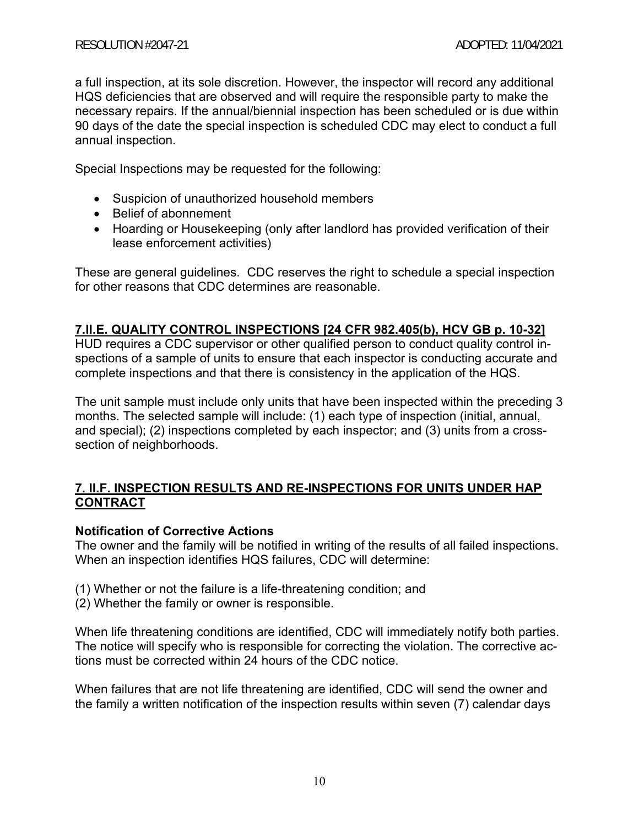a full inspection, at its sole discretion. However, the inspector will record any additional HQS deficiencies that are observed and will require the responsible party to make the necessary repairs. If the annual/biennial inspection has been scheduled or is due within 90 days of the date the special inspection is scheduled CDC may elect to conduct a full annual inspection.

Special Inspections may be requested for the following:

- Suspicion of unauthorized household members
- Belief of abonnement
- Hoarding or Housekeeping (only after landlord has provided verification of their lease enforcement activities)

These are general guidelines. CDC reserves the right to schedule a special inspection for other reasons that CDC determines are reasonable.

## **7.II.E. QUALITY CONTROL INSPECTIONS [24 CFR 982.405(b), HCV GB p. 10-32]**

HUD requires a CDC supervisor or other qualified person to conduct quality control inspections of a sample of units to ensure that each inspector is conducting accurate and complete inspections and that there is consistency in the application of the HQS.

The unit sample must include only units that have been inspected within the preceding 3 months. The selected sample will include: (1) each type of inspection (initial, annual, and special); (2) inspections completed by each inspector; and (3) units from a crosssection of neighborhoods.

## **7. II.F. INSPECTION RESULTS AND RE-INSPECTIONS FOR UNITS UNDER HAP CONTRACT**

## **Notification of Corrective Actions**

The owner and the family will be notified in writing of the results of all failed inspections. When an inspection identifies HQS failures, CDC will determine:

- (1) Whether or not the failure is a life-threatening condition; and
- (2) Whether the family or owner is responsible.

When life threatening conditions are identified, CDC will immediately notify both parties. The notice will specify who is responsible for correcting the violation. The corrective actions must be corrected within 24 hours of the CDC notice.

When failures that are not life threatening are identified, CDC will send the owner and the family a written notification of the inspection results within seven (7) calendar days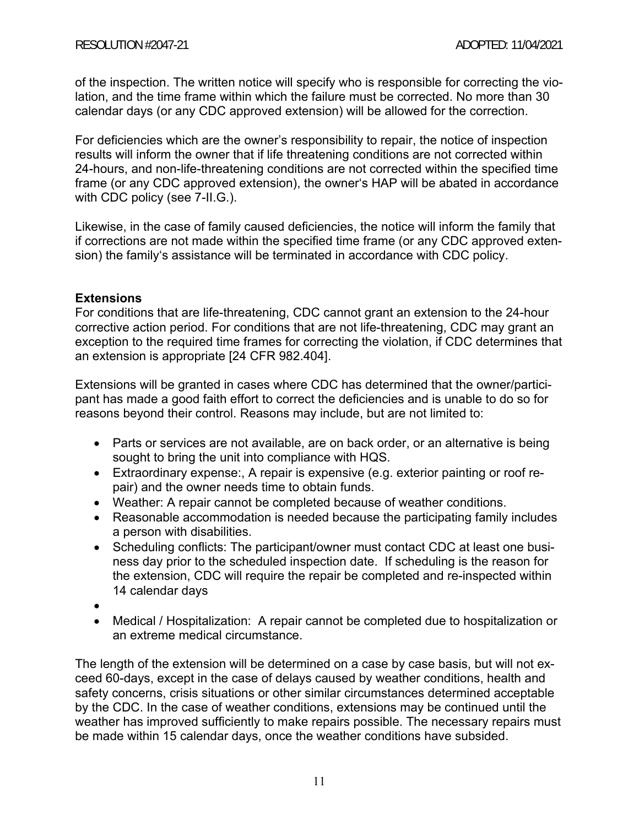of the inspection. The written notice will specify who is responsible for correcting the violation, and the time frame within which the failure must be corrected. No more than 30 calendar days (or any CDC approved extension) will be allowed for the correction.

For deficiencies which are the owner's responsibility to repair, the notice of inspection results will inform the owner that if life threatening conditions are not corrected within 24-hours, and non-life-threatening conditions are not corrected within the specified time frame (or any CDC approved extension), the owner's HAP will be abated in accordance with CDC policy (see 7-II.G.).

Likewise, in the case of family caused deficiencies, the notice will inform the family that if corrections are not made within the specified time frame (or any CDC approved extension) the family's assistance will be terminated in accordance with CDC policy.

## **Extensions**

For conditions that are life-threatening, CDC cannot grant an extension to the 24-hour corrective action period. For conditions that are not life-threatening, CDC may grant an exception to the required time frames for correcting the violation, if CDC determines that an extension is appropriate [24 CFR 982.404].

Extensions will be granted in cases where CDC has determined that the owner/participant has made a good faith effort to correct the deficiencies and is unable to do so for reasons beyond their control. Reasons may include, but are not limited to:

- Parts or services are not available, are on back order, or an alternative is being sought to bring the unit into compliance with HQS.
- Extraordinary expense:, A repair is expensive (e.g. exterior painting or roof repair) and the owner needs time to obtain funds.
- Weather: A repair cannot be completed because of weather conditions.
- Reasonable accommodation is needed because the participating family includes a person with disabilities.
- Scheduling conflicts: The participant/owner must contact CDC at least one business day prior to the scheduled inspection date. If scheduling is the reason for the extension, CDC will require the repair be completed and re-inspected within 14 calendar days
- $\bullet$
- Medical / Hospitalization: A repair cannot be completed due to hospitalization or an extreme medical circumstance.

The length of the extension will be determined on a case by case basis, but will not exceed 60-days, except in the case of delays caused by weather conditions, health and safety concerns, crisis situations or other similar circumstances determined acceptable by the CDC. In the case of weather conditions, extensions may be continued until the weather has improved sufficiently to make repairs possible. The necessary repairs must be made within 15 calendar days, once the weather conditions have subsided.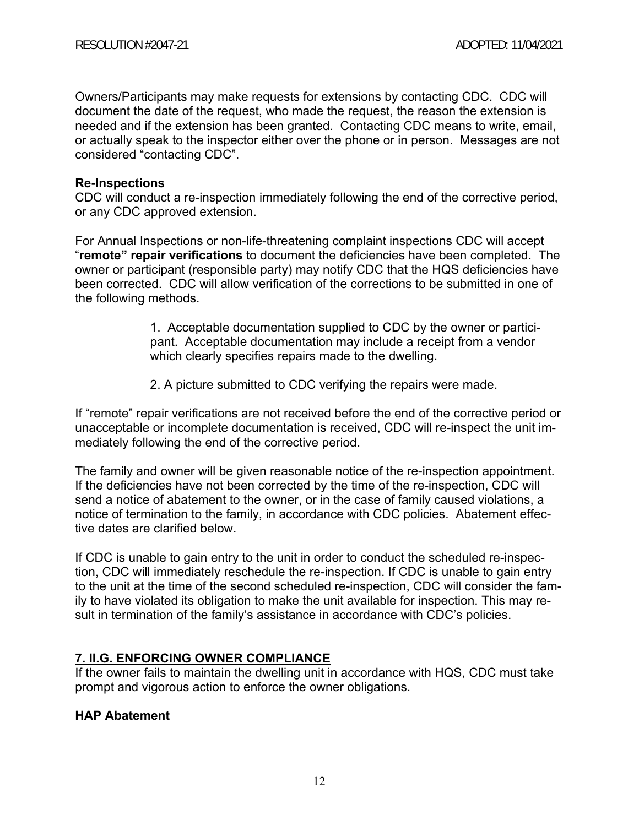Owners/Participants may make requests for extensions by contacting CDC. CDC will document the date of the request, who made the request, the reason the extension is needed and if the extension has been granted. Contacting CDC means to write, email, or actually speak to the inspector either over the phone or in person. Messages are not considered "contacting CDC".

#### **Re-Inspections**

CDC will conduct a re-inspection immediately following the end of the corrective period, or any CDC approved extension.

For Annual Inspections or non-life-threatening complaint inspections CDC will accept "**remote" repair verifications** to document the deficiencies have been completed. The owner or participant (responsible party) may notify CDC that the HQS deficiencies have been corrected. CDC will allow verification of the corrections to be submitted in one of the following methods.

> 1. Acceptable documentation supplied to CDC by the owner or participant. Acceptable documentation may include a receipt from a vendor which clearly specifies repairs made to the dwelling.

2. A picture submitted to CDC verifying the repairs were made.

If "remote" repair verifications are not received before the end of the corrective period or unacceptable or incomplete documentation is received, CDC will re-inspect the unit immediately following the end of the corrective period.

The family and owner will be given reasonable notice of the re-inspection appointment. If the deficiencies have not been corrected by the time of the re-inspection, CDC will send a notice of abatement to the owner, or in the case of family caused violations, a notice of termination to the family, in accordance with CDC policies. Abatement effective dates are clarified below.

If CDC is unable to gain entry to the unit in order to conduct the scheduled re-inspection, CDC will immediately reschedule the re-inspection. If CDC is unable to gain entry to the unit at the time of the second scheduled re-inspection, CDC will consider the family to have violated its obligation to make the unit available for inspection. This may result in termination of the family's assistance in accordance with CDC's policies.

## **7. II.G. ENFORCING OWNER COMPLIANCE**

If the owner fails to maintain the dwelling unit in accordance with HQS, CDC must take prompt and vigorous action to enforce the owner obligations.

## **HAP Abatement**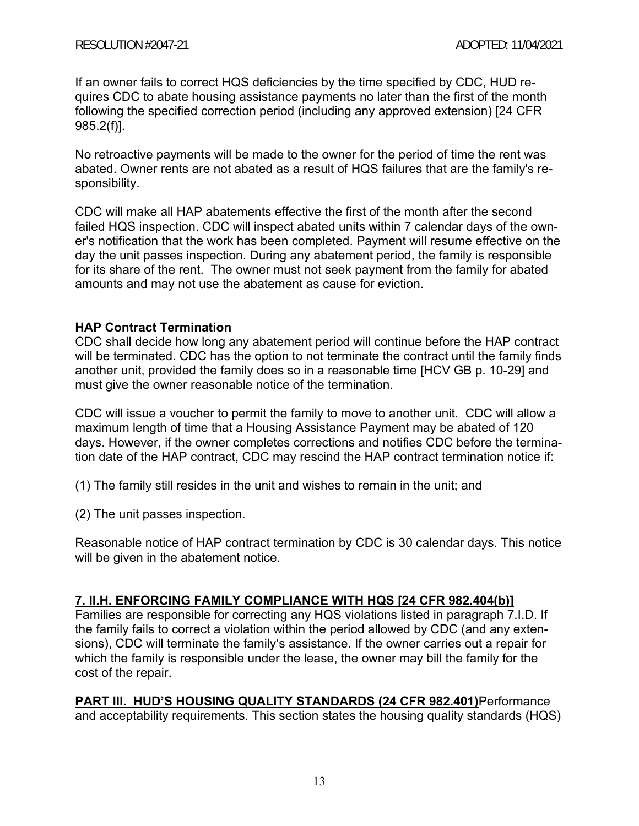If an owner fails to correct HQS deficiencies by the time specified by CDC, HUD requires CDC to abate housing assistance payments no later than the first of the month following the specified correction period (including any approved extension) [24 CFR 985.2(f)].

No retroactive payments will be made to the owner for the period of time the rent was abated. Owner rents are not abated as a result of HQS failures that are the family's responsibility.

CDC will make all HAP abatements effective the first of the month after the second failed HQS inspection. CDC will inspect abated units within 7 calendar days of the owner's notification that the work has been completed. Payment will resume effective on the day the unit passes inspection. During any abatement period, the family is responsible for its share of the rent. The owner must not seek payment from the family for abated amounts and may not use the abatement as cause for eviction.

## **HAP Contract Termination**

CDC shall decide how long any abatement period will continue before the HAP contract will be terminated. CDC has the option to not terminate the contract until the family finds another unit, provided the family does so in a reasonable time [HCV GB p. 10-29] and must give the owner reasonable notice of the termination.

CDC will issue a voucher to permit the family to move to another unit. CDC will allow a maximum length of time that a Housing Assistance Payment may be abated of 120 days. However, if the owner completes corrections and notifies CDC before the termination date of the HAP contract, CDC may rescind the HAP contract termination notice if:

(1) The family still resides in the unit and wishes to remain in the unit; and

(2) The unit passes inspection.

Reasonable notice of HAP contract termination by CDC is 30 calendar days. This notice will be given in the abatement notice.

## **7. II.H. ENFORCING FAMILY COMPLIANCE WITH HQS [24 CFR 982.404(b)]**

Families are responsible for correcting any HQS violations listed in paragraph 7.I.D. If the family fails to correct a violation within the period allowed by CDC (and any extensions), CDC will terminate the family's assistance. If the owner carries out a repair for which the family is responsible under the lease, the owner may bill the family for the cost of the repair.

**PART lll. HUD'S HOUSING QUALITY STANDARDS (24 CFR 982.401)**Performance and acceptability requirements. This section states the housing quality standards (HQS)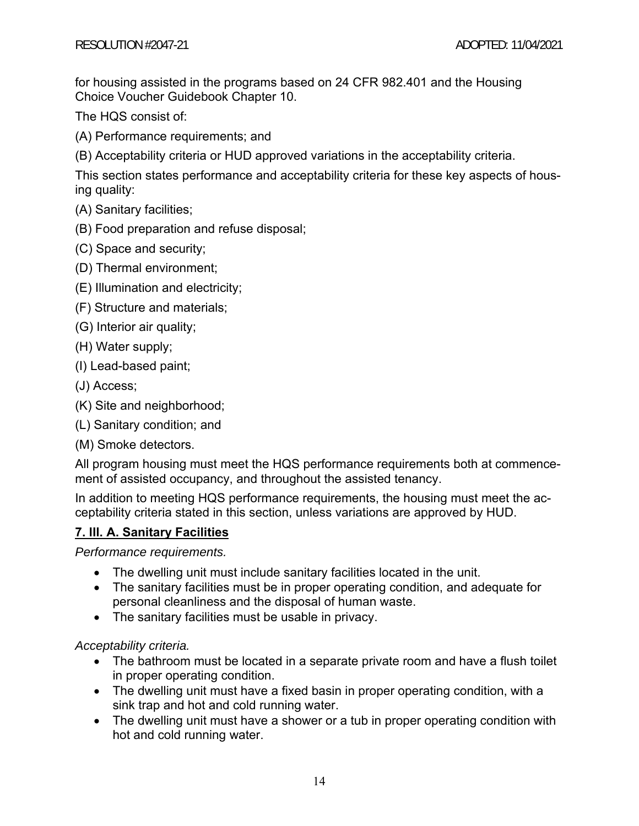for housing assisted in the programs based on 24 CFR 982.401 and the Housing Choice Voucher Guidebook Chapter 10.

The HQS consist of:

(A) Performance requirements; and

(B) Acceptability criteria or HUD approved variations in the acceptability criteria.

This section states performance and acceptability criteria for these key aspects of housing quality:

- (A) Sanitary facilities;
- (B) Food preparation and refuse disposal;
- (C) Space and security;
- (D) Thermal environment;
- (E) Illumination and electricity;
- (F) Structure and materials;
- (G) Interior air quality;
- (H) Water supply;
- (I) Lead-based paint;
- (J) Access;
- (K) Site and neighborhood;
- (L) Sanitary condition; and
- (M) Smoke detectors.

All program housing must meet the HQS performance requirements both at commencement of assisted occupancy, and throughout the assisted tenancy.

In addition to meeting HQS performance requirements, the housing must meet the acceptability criteria stated in this section, unless variations are approved by HUD.

## **7. lll. A. Sanitary Facilities**

*Performance requirements.*

- The dwelling unit must include sanitary facilities located in the unit.
- The sanitary facilities must be in proper operating condition, and adequate for personal cleanliness and the disposal of human waste.
- The sanitary facilities must be usable in privacy.

*Acceptability criteria.*

- The bathroom must be located in a separate private room and have a flush toilet in proper operating condition.
- The dwelling unit must have a fixed basin in proper operating condition, with a sink trap and hot and cold running water.
- The dwelling unit must have a shower or a tub in proper operating condition with hot and cold running water.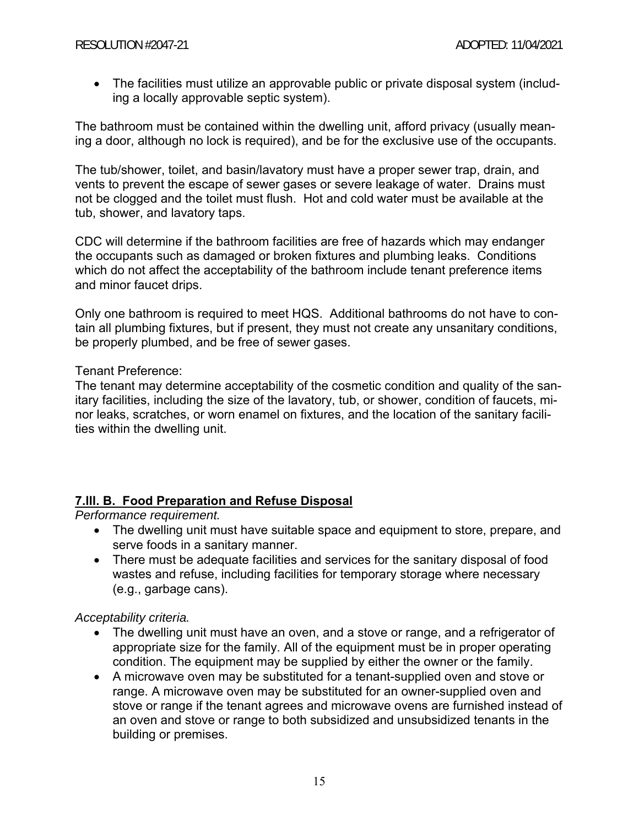The facilities must utilize an approvable public or private disposal system (including a locally approvable septic system).

The bathroom must be contained within the dwelling unit, afford privacy (usually meaning a door, although no lock is required), and be for the exclusive use of the occupants.

The tub/shower, toilet, and basin/lavatory must have a proper sewer trap, drain, and vents to prevent the escape of sewer gases or severe leakage of water. Drains must not be clogged and the toilet must flush. Hot and cold water must be available at the tub, shower, and lavatory taps.

CDC will determine if the bathroom facilities are free of hazards which may endanger the occupants such as damaged or broken fixtures and plumbing leaks. Conditions which do not affect the acceptability of the bathroom include tenant preference items and minor faucet drips.

Only one bathroom is required to meet HQS. Additional bathrooms do not have to contain all plumbing fixtures, but if present, they must not create any unsanitary conditions, be properly plumbed, and be free of sewer gases.

## Tenant Preference:

The tenant may determine acceptability of the cosmetic condition and quality of the sanitary facilities, including the size of the lavatory, tub, or shower, condition of faucets, minor leaks, scratches, or worn enamel on fixtures, and the location of the sanitary facilities within the dwelling unit.

## **7.lll. B. Food Preparation and Refuse Disposal**

*Performance requirement.*

- The dwelling unit must have suitable space and equipment to store, prepare, and serve foods in a sanitary manner.
- There must be adequate facilities and services for the sanitary disposal of food wastes and refuse, including facilities for temporary storage where necessary (e.g., garbage cans).

*Acceptability criteria.*

- The dwelling unit must have an oven, and a stove or range, and a refrigerator of appropriate size for the family. All of the equipment must be in proper operating condition. The equipment may be supplied by either the owner or the family.
- A microwave oven may be substituted for a tenant-supplied oven and stove or range. A microwave oven may be substituted for an owner-supplied oven and stove or range if the tenant agrees and microwave ovens are furnished instead of an oven and stove or range to both subsidized and unsubsidized tenants in the building or premises.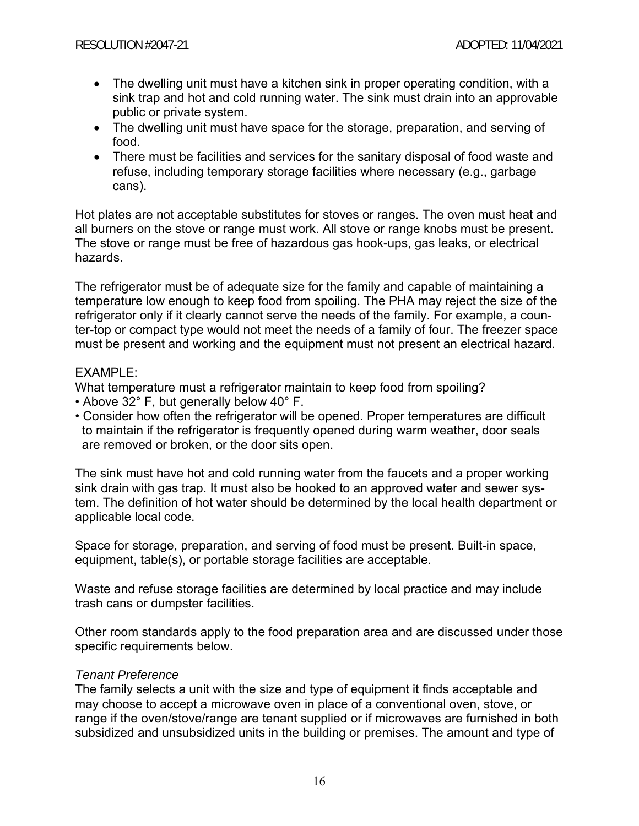- The dwelling unit must have a kitchen sink in proper operating condition, with a sink trap and hot and cold running water. The sink must drain into an approvable public or private system.
- The dwelling unit must have space for the storage, preparation, and serving of food.
- There must be facilities and services for the sanitary disposal of food waste and refuse, including temporary storage facilities where necessary (e.g., garbage cans).

Hot plates are not acceptable substitutes for stoves or ranges. The oven must heat and all burners on the stove or range must work. All stove or range knobs must be present. The stove or range must be free of hazardous gas hook-ups, gas leaks, or electrical hazards.

The refrigerator must be of adequate size for the family and capable of maintaining a temperature low enough to keep food from spoiling. The PHA may reject the size of the refrigerator only if it clearly cannot serve the needs of the family. For example, a counter-top or compact type would not meet the needs of a family of four. The freezer space must be present and working and the equipment must not present an electrical hazard.

#### EXAMPLE:

What temperature must a refrigerator maintain to keep food from spoiling?

- Above 32° F, but generally below 40° F.
- Consider how often the refrigerator will be opened. Proper temperatures are difficult to maintain if the refrigerator is frequently opened during warm weather, door seals are removed or broken, or the door sits open.

The sink must have hot and cold running water from the faucets and a proper working sink drain with gas trap. It must also be hooked to an approved water and sewer system. The definition of hot water should be determined by the local health department or applicable local code.

Space for storage, preparation, and serving of food must be present. Built-in space, equipment, table(s), or portable storage facilities are acceptable.

Waste and refuse storage facilities are determined by local practice and may include trash cans or dumpster facilities.

Other room standards apply to the food preparation area and are discussed under those specific requirements below.

#### *Tenant Preference*

The family selects a unit with the size and type of equipment it finds acceptable and may choose to accept a microwave oven in place of a conventional oven, stove, or range if the oven/stove/range are tenant supplied or if microwaves are furnished in both subsidized and unsubsidized units in the building or premises. The amount and type of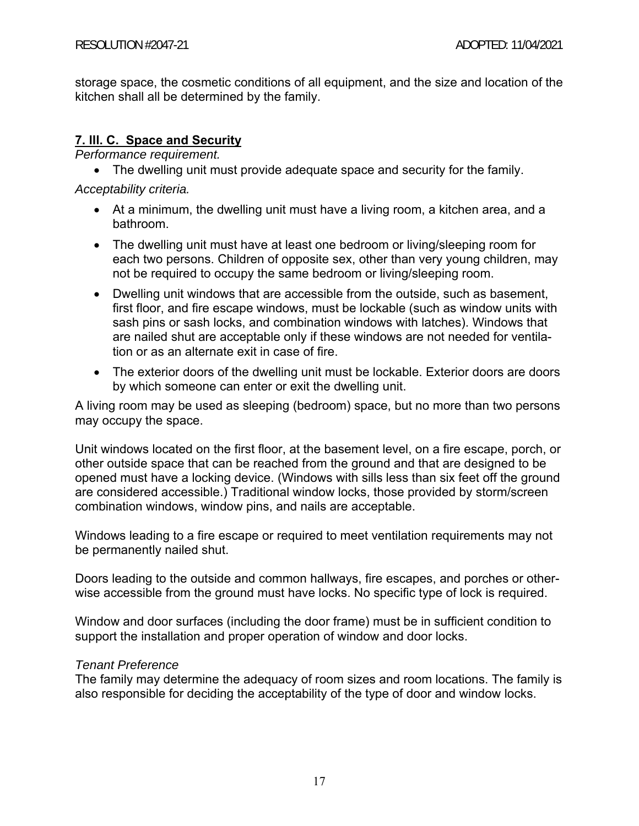storage space, the cosmetic conditions of all equipment, and the size and location of the kitchen shall all be determined by the family.

## **7. lll. C. Space and Security**

*Performance requirement.*

• The dwelling unit must provide adequate space and security for the family.

*Acceptability criteria.*

- At a minimum, the dwelling unit must have a living room, a kitchen area, and a bathroom.
- The dwelling unit must have at least one bedroom or living/sleeping room for each two persons. Children of opposite sex, other than very young children, may not be required to occupy the same bedroom or living/sleeping room.
- Dwelling unit windows that are accessible from the outside, such as basement, first floor, and fire escape windows, must be lockable (such as window units with sash pins or sash locks, and combination windows with latches). Windows that are nailed shut are acceptable only if these windows are not needed for ventilation or as an alternate exit in case of fire.
- The exterior doors of the dwelling unit must be lockable. Exterior doors are doors by which someone can enter or exit the dwelling unit.

A living room may be used as sleeping (bedroom) space, but no more than two persons may occupy the space.

Unit windows located on the first floor, at the basement level, on a fire escape, porch, or other outside space that can be reached from the ground and that are designed to be opened must have a locking device. (Windows with sills less than six feet off the ground are considered accessible.) Traditional window locks, those provided by storm/screen combination windows, window pins, and nails are acceptable.

Windows leading to a fire escape or required to meet ventilation requirements may not be permanently nailed shut.

Doors leading to the outside and common hallways, fire escapes, and porches or otherwise accessible from the ground must have locks. No specific type of lock is required.

Window and door surfaces (including the door frame) must be in sufficient condition to support the installation and proper operation of window and door locks.

## *Tenant Preference*

The family may determine the adequacy of room sizes and room locations. The family is also responsible for deciding the acceptability of the type of door and window locks.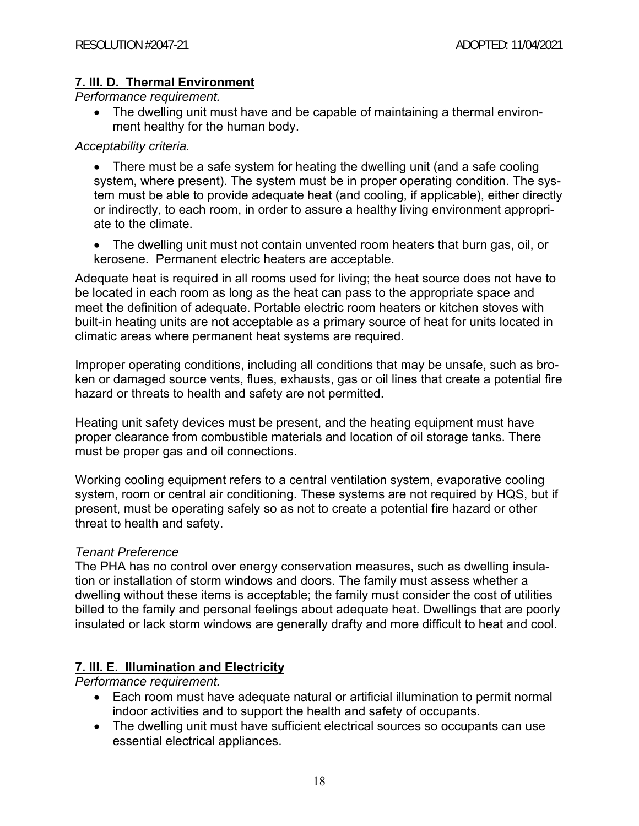## **7. lll. D. Thermal Environment**

*Performance requirement.*

• The dwelling unit must have and be capable of maintaining a thermal environment healthy for the human body.

## *Acceptability criteria.*

• There must be a safe system for heating the dwelling unit (and a safe cooling system, where present). The system must be in proper operating condition. The system must be able to provide adequate heat (and cooling, if applicable), either directly or indirectly, to each room, in order to assure a healthy living environment appropriate to the climate.

 The dwelling unit must not contain unvented room heaters that burn gas, oil, or kerosene. Permanent electric heaters are acceptable.

Adequate heat is required in all rooms used for living; the heat source does not have to be located in each room as long as the heat can pass to the appropriate space and meet the definition of adequate. Portable electric room heaters or kitchen stoves with built-in heating units are not acceptable as a primary source of heat for units located in climatic areas where permanent heat systems are required.

Improper operating conditions, including all conditions that may be unsafe, such as broken or damaged source vents, flues, exhausts, gas or oil lines that create a potential fire hazard or threats to health and safety are not permitted.

Heating unit safety devices must be present, and the heating equipment must have proper clearance from combustible materials and location of oil storage tanks. There must be proper gas and oil connections.

Working cooling equipment refers to a central ventilation system, evaporative cooling system, room or central air conditioning. These systems are not required by HQS, but if present, must be operating safely so as not to create a potential fire hazard or other threat to health and safety.

## *Tenant Preference*

The PHA has no control over energy conservation measures, such as dwelling insulation or installation of storm windows and doors. The family must assess whether a dwelling without these items is acceptable; the family must consider the cost of utilities billed to the family and personal feelings about adequate heat. Dwellings that are poorly insulated or lack storm windows are generally drafty and more difficult to heat and cool.

# **7. lll. E. Illumination and Electricity**

*Performance requirement.*

- Each room must have adequate natural or artificial illumination to permit normal indoor activities and to support the health and safety of occupants.
- The dwelling unit must have sufficient electrical sources so occupants can use essential electrical appliances.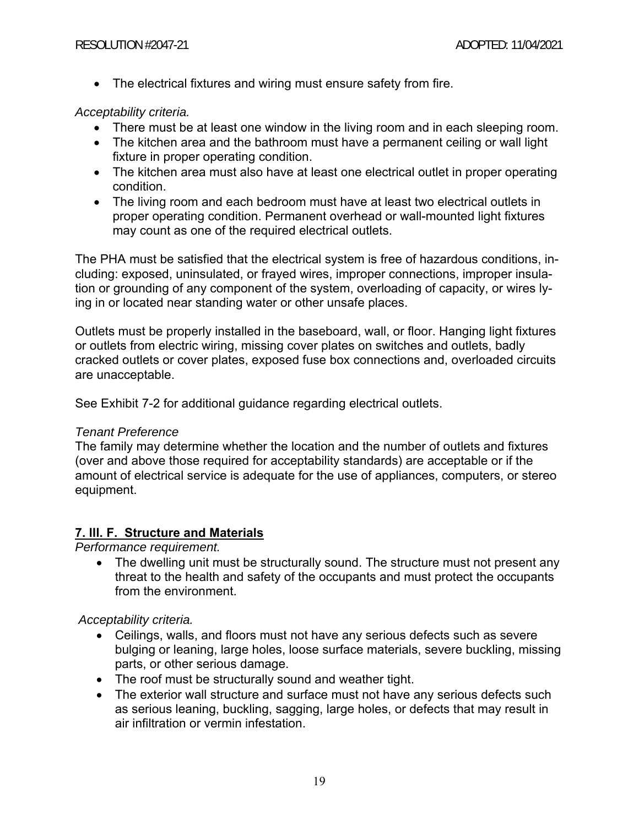The electrical fixtures and wiring must ensure safety from fire.

## *Acceptability criteria.*

- There must be at least one window in the living room and in each sleeping room.
- The kitchen area and the bathroom must have a permanent ceiling or wall light fixture in proper operating condition.
- The kitchen area must also have at least one electrical outlet in proper operating condition.
- The living room and each bedroom must have at least two electrical outlets in proper operating condition. Permanent overhead or wall-mounted light fixtures may count as one of the required electrical outlets.

The PHA must be satisfied that the electrical system is free of hazardous conditions, including: exposed, uninsulated, or frayed wires, improper connections, improper insulation or grounding of any component of the system, overloading of capacity, or wires lying in or located near standing water or other unsafe places.

Outlets must be properly installed in the baseboard, wall, or floor. Hanging light fixtures or outlets from electric wiring, missing cover plates on switches and outlets, badly cracked outlets or cover plates, exposed fuse box connections and, overloaded circuits are unacceptable.

See Exhibit 7-2 for additional guidance regarding electrical outlets.

## *Tenant Preference*

The family may determine whether the location and the number of outlets and fixtures (over and above those required for acceptability standards) are acceptable or if the amount of electrical service is adequate for the use of appliances, computers, or stereo equipment.

## **7. lll. F. Structure and Materials**

*Performance requirement.* 

• The dwelling unit must be structurally sound. The structure must not present any threat to the health and safety of the occupants and must protect the occupants from the environment.

## *Acceptability criteria.*

- Ceilings, walls, and floors must not have any serious defects such as severe bulging or leaning, large holes, loose surface materials, severe buckling, missing parts, or other serious damage.
- The roof must be structurally sound and weather tight.
- The exterior wall structure and surface must not have any serious defects such as serious leaning, buckling, sagging, large holes, or defects that may result in air infiltration or vermin infestation.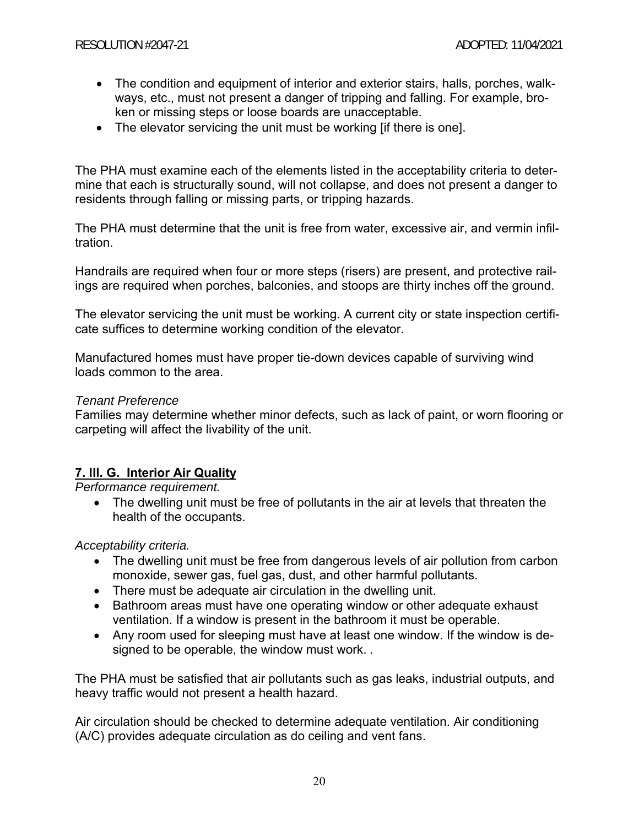- The condition and equipment of interior and exterior stairs, halls, porches, walkways, etc., must not present a danger of tripping and falling. For example, broken or missing steps or loose boards are unacceptable.
- The elevator servicing the unit must be working lif there is onel.

The PHA must examine each of the elements listed in the acceptability criteria to determine that each is structurally sound, will not collapse, and does not present a danger to residents through falling or missing parts, or tripping hazards.

The PHA must determine that the unit is free from water, excessive air, and vermin infiltration.

Handrails are required when four or more steps (risers) are present, and protective railings are required when porches, balconies, and stoops are thirty inches off the ground.

The elevator servicing the unit must be working. A current city or state inspection certificate suffices to determine working condition of the elevator.

Manufactured homes must have proper tie-down devices capable of surviving wind loads common to the area.

#### *Tenant Preference*

Families may determine whether minor defects, such as lack of paint, or worn flooring or carpeting will affect the livability of the unit.

## **7. lll. G. Interior Air Quality**

*Performance requirement.*

 The dwelling unit must be free of pollutants in the air at levels that threaten the health of the occupants.

*Acceptability criteria.*

- The dwelling unit must be free from dangerous levels of air pollution from carbon monoxide, sewer gas, fuel gas, dust, and other harmful pollutants.
- There must be adequate air circulation in the dwelling unit.
- Bathroom areas must have one operating window or other adequate exhaust ventilation. If a window is present in the bathroom it must be operable.
- Any room used for sleeping must have at least one window. If the window is designed to be operable, the window must work. *.*

The PHA must be satisfied that air pollutants such as gas leaks, industrial outputs, and heavy traffic would not present a health hazard.

Air circulation should be checked to determine adequate ventilation. Air conditioning (A/C) provides adequate circulation as do ceiling and vent fans.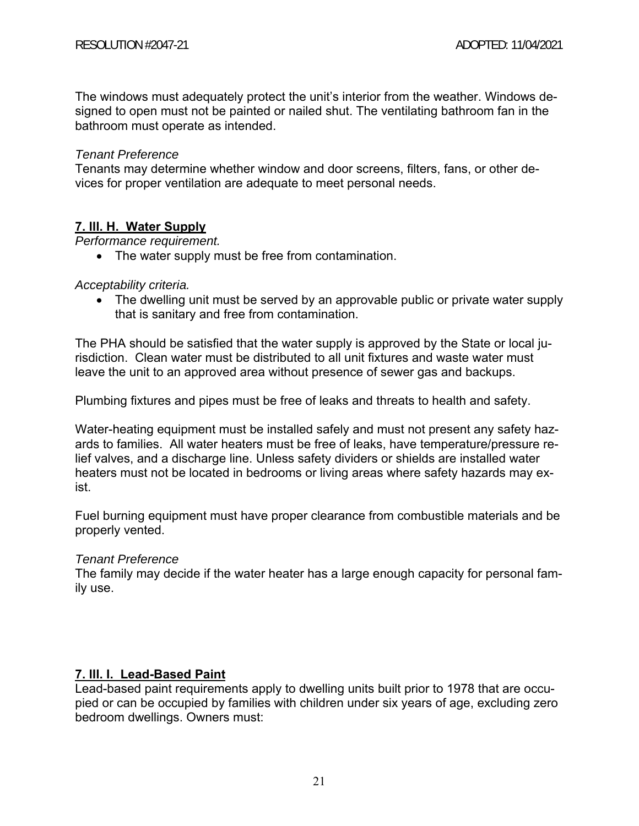The windows must adequately protect the unit's interior from the weather. Windows designed to open must not be painted or nailed shut. The ventilating bathroom fan in the bathroom must operate as intended.

### *Tenant Preference*

Tenants may determine whether window and door screens, filters, fans, or other devices for proper ventilation are adequate to meet personal needs.

## **7. lll. H. Water Supply**

*Performance requirement.* 

• The water supply must be free from contamination.

#### *Acceptability criteria.*

• The dwelling unit must be served by an approvable public or private water supply that is sanitary and free from contamination.

The PHA should be satisfied that the water supply is approved by the State or local jurisdiction. Clean water must be distributed to all unit fixtures and waste water must leave the unit to an approved area without presence of sewer gas and backups.

Plumbing fixtures and pipes must be free of leaks and threats to health and safety.

Water-heating equipment must be installed safely and must not present any safety hazards to families. All water heaters must be free of leaks, have temperature/pressure relief valves, and a discharge line. Unless safety dividers or shields are installed water heaters must not be located in bedrooms or living areas where safety hazards may exist.

Fuel burning equipment must have proper clearance from combustible materials and be properly vented.

#### *Tenant Preference*

The family may decide if the water heater has a large enough capacity for personal family use.

## **7. lll. I. Lead-Based Paint**

Lead-based paint requirements apply to dwelling units built prior to 1978 that are occupied or can be occupied by families with children under six years of age, excluding zero bedroom dwellings. Owners must: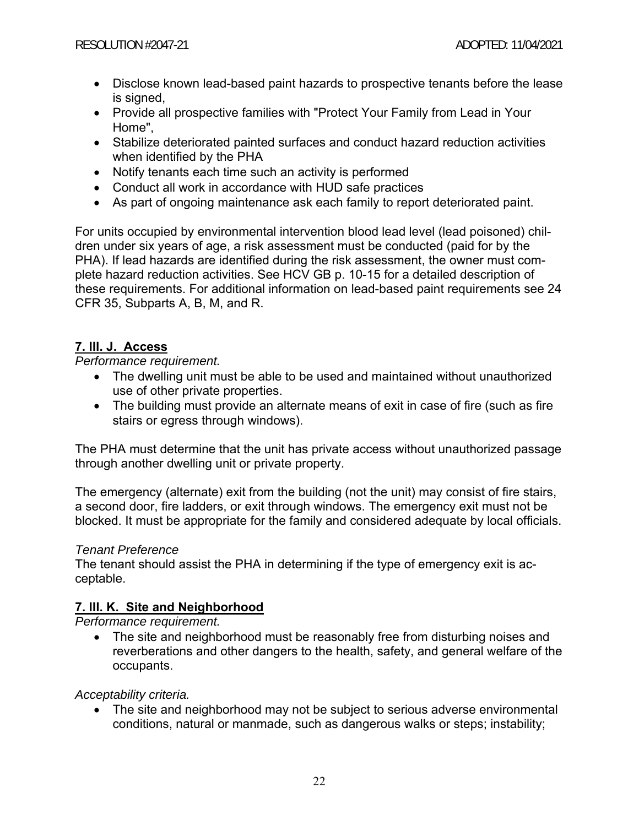- Disclose known lead-based paint hazards to prospective tenants before the lease is signed,
- Provide all prospective families with "Protect Your Family from Lead in Your Home",
- Stabilize deteriorated painted surfaces and conduct hazard reduction activities when identified by the PHA
- Notify tenants each time such an activity is performed
- Conduct all work in accordance with HUD safe practices
- As part of ongoing maintenance ask each family to report deteriorated paint.

For units occupied by environmental intervention blood lead level (lead poisoned) children under six years of age, a risk assessment must be conducted (paid for by the PHA). If lead hazards are identified during the risk assessment, the owner must complete hazard reduction activities. See HCV GB p. 10-15 for a detailed description of these requirements. For additional information on lead-based paint requirements see 24 CFR 35, Subparts A, B, M, and R.

## **7. lll. J. Access**

*Performance requirement.*

- The dwelling unit must be able to be used and maintained without unauthorized use of other private properties.
- The building must provide an alternate means of exit in case of fire (such as fire stairs or egress through windows).

The PHA must determine that the unit has private access without unauthorized passage through another dwelling unit or private property.

The emergency (alternate) exit from the building (not the unit) may consist of fire stairs, a second door, fire ladders, or exit through windows. The emergency exit must not be blocked. It must be appropriate for the family and considered adequate by local officials.

## *Tenant Preference*

The tenant should assist the PHA in determining if the type of emergency exit is acceptable.

## **7. lll. K. Site and Neighborhood**

*Performance requirement.*

• The site and neighborhood must be reasonably free from disturbing noises and reverberations and other dangers to the health, safety, and general welfare of the occupants.

*Acceptability criteria.*

 The site and neighborhood may not be subject to serious adverse environmental conditions, natural or manmade, such as dangerous walks or steps; instability;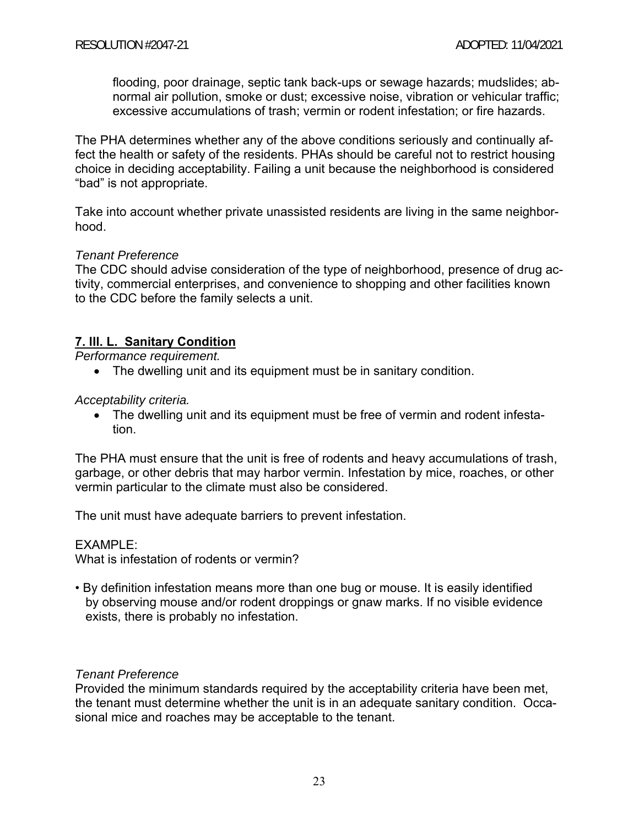flooding, poor drainage, septic tank back-ups or sewage hazards; mudslides; abnormal air pollution, smoke or dust; excessive noise, vibration or vehicular traffic; excessive accumulations of trash; vermin or rodent infestation; or fire hazards.

The PHA determines whether any of the above conditions seriously and continually affect the health or safety of the residents. PHAs should be careful not to restrict housing choice in deciding acceptability. Failing a unit because the neighborhood is considered "bad" is not appropriate.

Take into account whether private unassisted residents are living in the same neighborhood.

#### *Tenant Preference*

The CDC should advise consideration of the type of neighborhood, presence of drug activity, commercial enterprises, and convenience to shopping and other facilities known to the CDC before the family selects a unit.

## **7. lll. L. Sanitary Condition**

*Performance requirement.*

• The dwelling unit and its equipment must be in sanitary condition.

*Acceptability criteria.*

 The dwelling unit and its equipment must be free of vermin and rodent infestation.

The PHA must ensure that the unit is free of rodents and heavy accumulations of trash, garbage, or other debris that may harbor vermin. Infestation by mice, roaches, or other vermin particular to the climate must also be considered.

The unit must have adequate barriers to prevent infestation.

#### EXAMPLE:

What is infestation of rodents or vermin?

• By definition infestation means more than one bug or mouse. It is easily identified by observing mouse and/or rodent droppings or gnaw marks. If no visible evidence exists, there is probably no infestation.

#### *Tenant Preference*

Provided the minimum standards required by the acceptability criteria have been met, the tenant must determine whether the unit is in an adequate sanitary condition. Occasional mice and roaches may be acceptable to the tenant.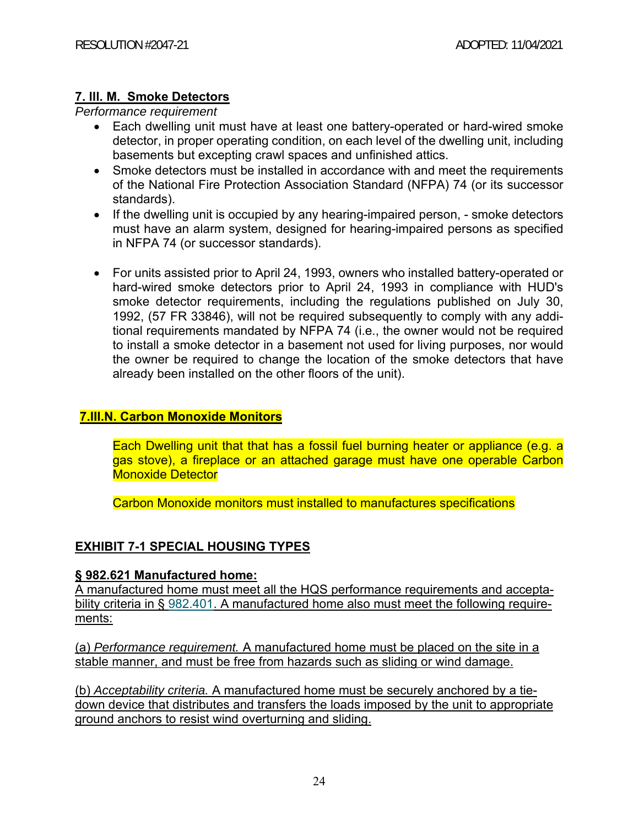## **7. lll. M. Smoke Detectors**

*Performance requirement* 

- Each dwelling unit must have at least one battery-operated or hard-wired smoke detector, in proper operating condition, on each level of the dwelling unit, including basements but excepting crawl spaces and unfinished attics.
- Smoke detectors must be installed in accordance with and meet the requirements of the National Fire Protection Association Standard (NFPA) 74 (or its successor standards).
- If the dwelling unit is occupied by any hearing-impaired person, smoke detectors must have an alarm system, designed for hearing-impaired persons as specified in NFPA 74 (or successor standards).
- For units assisted prior to April 24, 1993, owners who installed battery-operated or hard-wired smoke detectors prior to April 24, 1993 in compliance with HUD's smoke detector requirements, including the regulations published on July 30, 1992, (57 FR 33846), will not be required subsequently to comply with any additional requirements mandated by NFPA 74 (i.e., the owner would not be required to install a smoke detector in a basement not used for living purposes, nor would the owner be required to change the location of the smoke detectors that have already been installed on the other floors of the unit).

## **7.III.N. Carbon Monoxide Monitors**

Each Dwelling unit that that has a fossil fuel burning heater or appliance (e.g. a gas stove), a fireplace or an attached garage must have one operable Carbon Monoxide Detector

Carbon Monoxide monitors must installed to manufactures specifications

## **EXHIBIT 7-1 SPECIAL HOUSING TYPES**

## **§ 982.621 Manufactured home:**

A manufactured home must meet all the HQS performance requirements and acceptability criteria in § 982.401. A manufactured home also must meet the following requirements:

(a) *Performance requirement.* A manufactured home must be placed on the site in a stable manner, and must be free from hazards such as sliding or wind damage.

(b) *Acceptability criteria.* A manufactured home must be securely anchored by a tiedown device that distributes and transfers the loads imposed by the unit to appropriate ground anchors to resist wind overturning and sliding.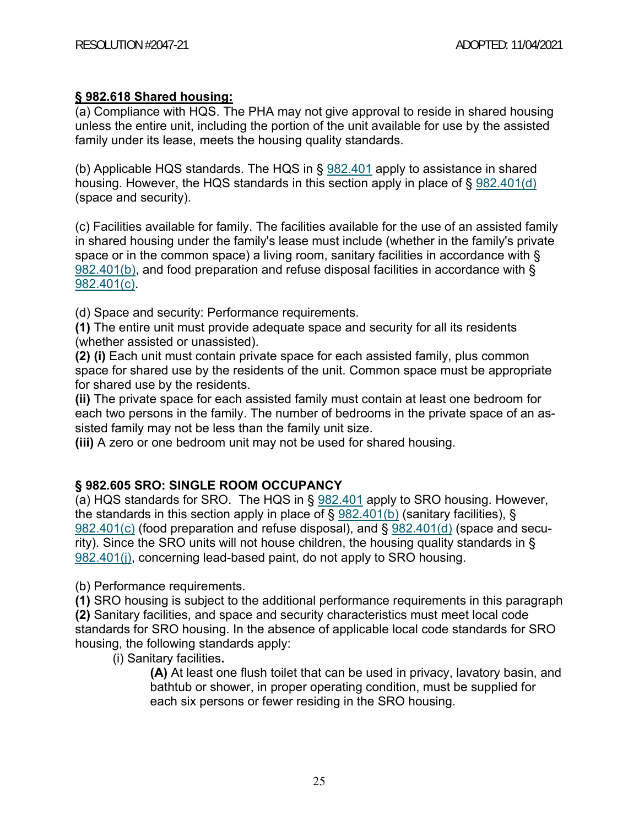## **§ 982.618 Shared housing:**

(a) Compliance with HQS. The PHA may not give approval to reside in shared housing unless the entire unit, including the portion of the unit available for use by the assisted family under its lease, meets the housing quality standards.

(b) Applicable HQS standards. The HQS in § 982.401 apply to assistance in shared housing. However, the HQS standards in this section apply in place of § 982.401(d) (space and security).

(c) Facilities available for family. The facilities available for the use of an assisted family in shared housing under the family's lease must include (whether in the family's private space or in the common space) a living room, sanitary facilities in accordance with § 982.401(b), and food preparation and refuse disposal facilities in accordance with § 982.401(c).

(d) Space and security: Performance requirements.

**(1)** The entire unit must provide adequate space and security for all its residents (whether assisted or unassisted).

**(2) (i)** Each unit must contain private space for each assisted family, plus common space for shared use by the residents of the unit. Common space must be appropriate for shared use by the residents.

**(ii)** The private space for each assisted family must contain at least one bedroom for each two persons in the family. The number of bedrooms in the private space of an assisted family may not be less than the family unit size.

**(iii)** A zero or one bedroom unit may not be used for shared housing.

## **§ 982.605 SRO: SINGLE ROOM OCCUPANCY**

(a) HQS standards for SRO. The HQS in § 982.401 apply to SRO housing. However, the standards in this section apply in place of  $\S$  982.401(b) (sanitary facilities),  $\S$ 982.401(c) (food preparation and refuse disposal), and § 982.401(d) (space and security). Since the SRO units will not house children, the housing quality standards in § 982.401(j), concerning lead-based paint, do not apply to SRO housing.

(b) Performance requirements.

**(1)** SRO housing is subject to the additional performance requirements in this paragraph

**(2)** Sanitary facilities, and space and security characteristics must meet local code standards for SRO housing. In the absence of applicable local code standards for SRO housing, the following standards apply:

(i) Sanitary facilities**.** 

**(A)** At least one flush toilet that can be used in privacy, lavatory basin, and bathtub or shower, in proper operating condition, must be supplied for each six persons or fewer residing in the SRO housing.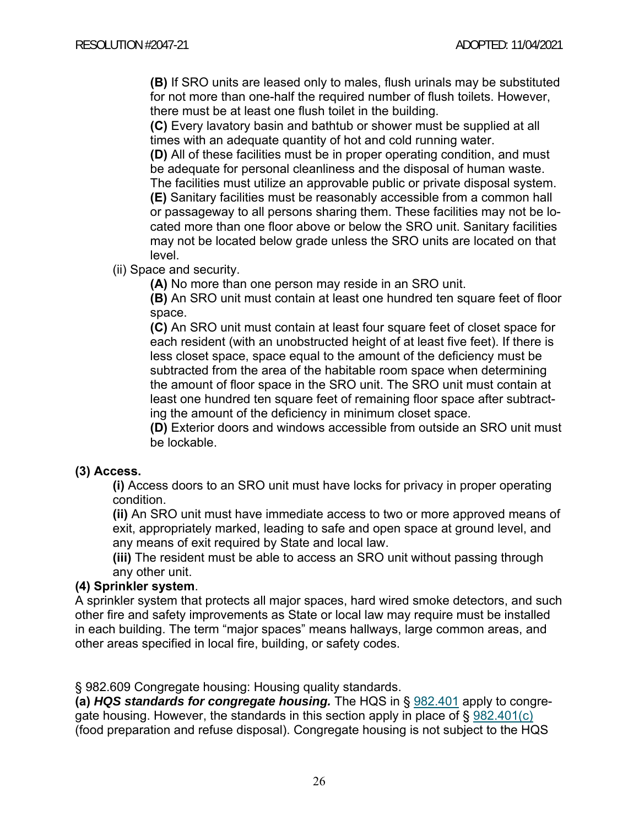**(B)** If SRO units are leased only to males, flush urinals may be substituted for not more than one-half the required number of flush toilets. However, there must be at least one flush toilet in the building.

**(C)** Every lavatory basin and bathtub or shower must be supplied at all times with an adequate quantity of hot and cold running water.

**(D)** All of these facilities must be in proper operating condition, and must be adequate for personal cleanliness and the disposal of human waste. The facilities must utilize an approvable public or private disposal system. **(E)** Sanitary facilities must be reasonably accessible from a common hall or passageway to all persons sharing them. These facilities may not be located more than one floor above or below the SRO unit. Sanitary facilities may not be located below grade unless the SRO units are located on that level.

(ii) Space and security.

**(A)** No more than one person may reside in an SRO unit.

**(B)** An SRO unit must contain at least one hundred ten square feet of floor space.

**(C)** An SRO unit must contain at least four square feet of closet space for each resident (with an unobstructed height of at least five feet). If there is less closet space, space equal to the amount of the deficiency must be subtracted from the area of the habitable room space when determining the amount of floor space in the SRO unit. The SRO unit must contain at least one hundred ten square feet of remaining floor space after subtracting the amount of the deficiency in minimum closet space.

**(D)** Exterior doors and windows accessible from outside an SRO unit must be lockable.

## **(3) Access.**

**(i)** Access doors to an SRO unit must have locks for privacy in proper operating condition.

**(ii)** An SRO unit must have immediate access to two or more approved means of exit, appropriately marked, leading to safe and open space at ground level, and any means of exit required by State and local law.

**(iii)** The resident must be able to access an SRO unit without passing through any other unit.

## **(4) Sprinkler system**.

A sprinkler system that protects all major spaces, hard wired smoke detectors, and such other fire and safety improvements as State or local law may require must be installed in each building. The term "major spaces" means hallways, large common areas, and other areas specified in local fire, building, or safety codes.

§ 982.609 Congregate housing: Housing quality standards.

**(a)** *HQS standards for congregate housing.* The HQS in § 982.401 apply to congregate housing. However, the standards in this section apply in place of § 982.401(c) (food preparation and refuse disposal). Congregate housing is not subject to the HQS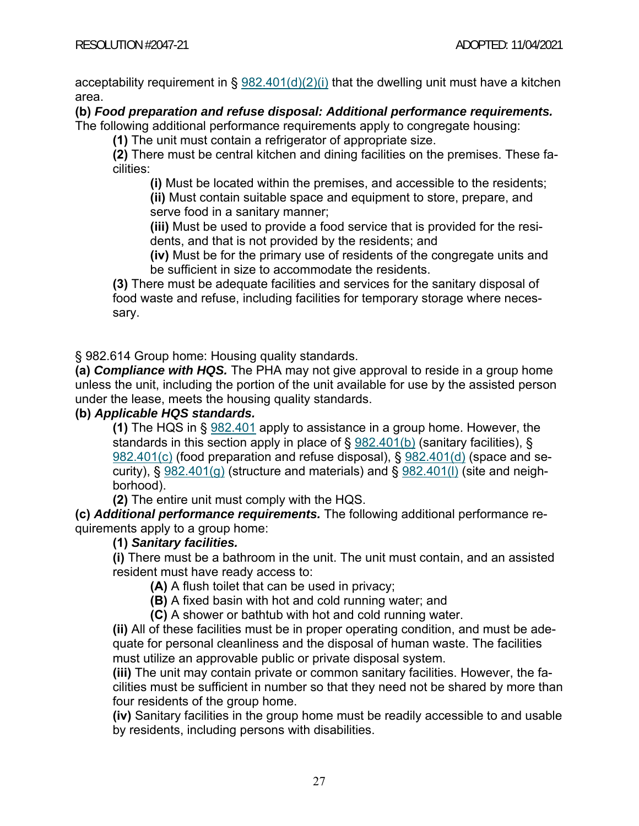acceptability requirement in §  $982.401(d)(2)(i)$  that the dwelling unit must have a kitchen area.

**(b)** *Food preparation and refuse disposal: Additional performance requirements.*

The following additional performance requirements apply to congregate housing:

**(1)** The unit must contain a refrigerator of appropriate size.

**(2)** There must be central kitchen and dining facilities on the premises. These facilities:

**(i)** Must be located within the premises, and accessible to the residents;

**(ii)** Must contain suitable space and equipment to store, prepare, and serve food in a sanitary manner;

**(iii)** Must be used to provide a food service that is provided for the residents, and that is not provided by the residents; and

**(iv)** Must be for the primary use of residents of the congregate units and be sufficient in size to accommodate the residents.

**(3)** There must be adequate facilities and services for the sanitary disposal of food waste and refuse, including facilities for temporary storage where necessary.

§ 982.614 Group home: Housing quality standards.

**(a)** *Compliance with HQS.* The PHA may not give approval to reside in a group home unless the unit, including the portion of the unit available for use by the assisted person under the lease, meets the housing quality standards.

## **(b)** *Applicable HQS standards.*

**(1)** The HQS in § 982.401 apply to assistance in a group home. However, the standards in this section apply in place of § 982.401(b) (sanitary facilities), § 982.401(c) (food preparation and refuse disposal), § 982.401(d) (space and security), § 982.401(g) (structure and materials) and § 982.401(l) (site and neighborhood).

**(2)** The entire unit must comply with the HQS.

**(c)** *Additional performance requirements.* The following additional performance requirements apply to a group home:

## **(1)** *Sanitary facilities.*

**(i)** There must be a bathroom in the unit. The unit must contain, and an assisted resident must have ready access to:

**(A)** A flush toilet that can be used in privacy;

**(B)** A fixed basin with hot and cold running water; and

**(C)** A shower or bathtub with hot and cold running water.

**(ii)** All of these facilities must be in proper operating condition, and must be adequate for personal cleanliness and the disposal of human waste. The facilities must utilize an approvable public or private disposal system.

**(iii)** The unit may contain private or common sanitary facilities. However, the facilities must be sufficient in number so that they need not be shared by more than four residents of the group home.

**(iv)** Sanitary facilities in the group home must be readily accessible to and usable by residents, including persons with disabilities.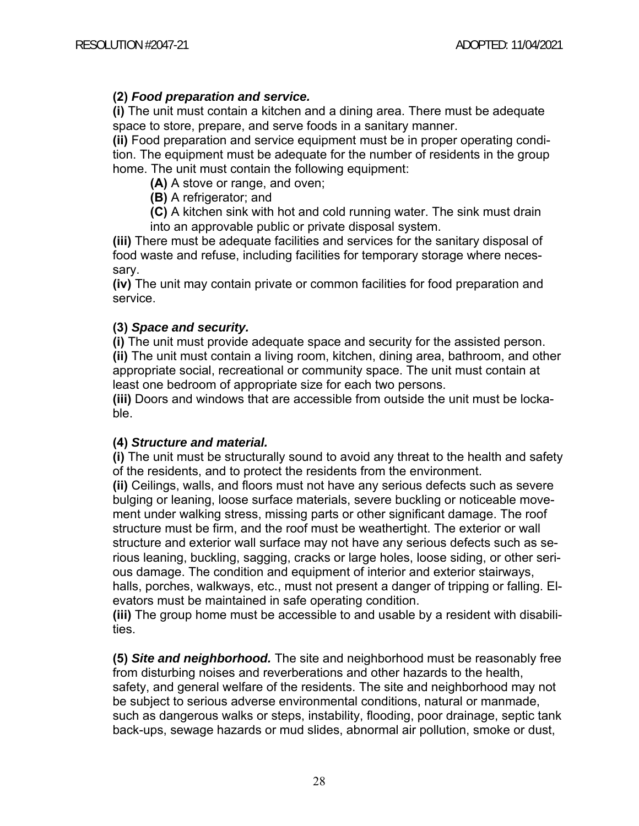## **(2)** *Food preparation and service.*

**(i)** The unit must contain a kitchen and a dining area. There must be adequate space to store, prepare, and serve foods in a sanitary manner.

**(ii)** Food preparation and service equipment must be in proper operating condition. The equipment must be adequate for the number of residents in the group home. The unit must contain the following equipment:

**(A)** A stove or range, and oven;

**(B)** A refrigerator; and

**(C)** A kitchen sink with hot and cold running water. The sink must drain into an approvable public or private disposal system.

**(iii)** There must be adequate facilities and services for the sanitary disposal of food waste and refuse, including facilities for temporary storage where necessary.

**(iv)** The unit may contain private or common facilities for food preparation and service.

#### **(3)** *Space and security.*

**(i)** The unit must provide adequate space and security for the assisted person. **(ii)** The unit must contain a living room, kitchen, dining area, bathroom, and other appropriate social, recreational or community space. The unit must contain at least one bedroom of appropriate size for each two persons.

**(iii)** Doors and windows that are accessible from outside the unit must be lockable.

## **(4)** *Structure and material.*

**(i)** The unit must be structurally sound to avoid any threat to the health and safety of the residents, and to protect the residents from the environment.

**(ii)** Ceilings, walls, and floors must not have any serious defects such as severe bulging or leaning, loose surface materials, severe buckling or noticeable movement under walking stress, missing parts or other significant damage. The roof structure must be firm, and the roof must be weathertight. The exterior or wall structure and exterior wall surface may not have any serious defects such as serious leaning, buckling, sagging, cracks or large holes, loose siding, or other serious damage. The condition and equipment of interior and exterior stairways, halls, porches, walkways, etc., must not present a danger of tripping or falling. Elevators must be maintained in safe operating condition.

**(iii)** The group home must be accessible to and usable by a resident with disabilities.

**(5)** *Site and neighborhood.* The site and neighborhood must be reasonably free from disturbing noises and reverberations and other hazards to the health, safety, and general welfare of the residents. The site and neighborhood may not be subject to serious adverse environmental conditions, natural or manmade, such as dangerous walks or steps, instability, flooding, poor drainage, septic tank back-ups, sewage hazards or mud slides, abnormal air pollution, smoke or dust,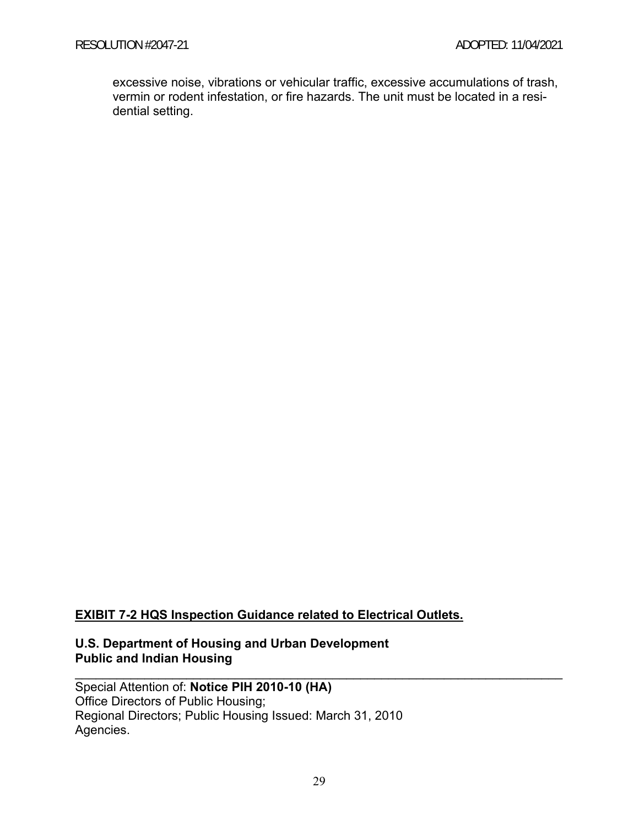excessive noise, vibrations or vehicular traffic, excessive accumulations of trash, vermin or rodent infestation, or fire hazards. The unit must be located in a residential setting.

## **EXIBIT 7-2 HQS Inspection Guidance related to Electrical Outlets.**

## **U.S. Department of Housing and Urban Development Public and Indian Housing**

Special Attention of: **Notice PIH 2010-10 (HA)**  Office Directors of Public Housing; Regional Directors; Public Housing Issued: March 31, 2010 Agencies.

 $\mathcal{L}_\mathcal{L} = \{ \mathcal{L}_\mathcal{L} = \{ \mathcal{L}_\mathcal{L} = \{ \mathcal{L}_\mathcal{L} = \{ \mathcal{L}_\mathcal{L} = \{ \mathcal{L}_\mathcal{L} = \{ \mathcal{L}_\mathcal{L} = \{ \mathcal{L}_\mathcal{L} = \{ \mathcal{L}_\mathcal{L} = \{ \mathcal{L}_\mathcal{L} = \{ \mathcal{L}_\mathcal{L} = \{ \mathcal{L}_\mathcal{L} = \{ \mathcal{L}_\mathcal{L} = \{ \mathcal{L}_\mathcal{L} = \{ \mathcal{L}_\mathcal{$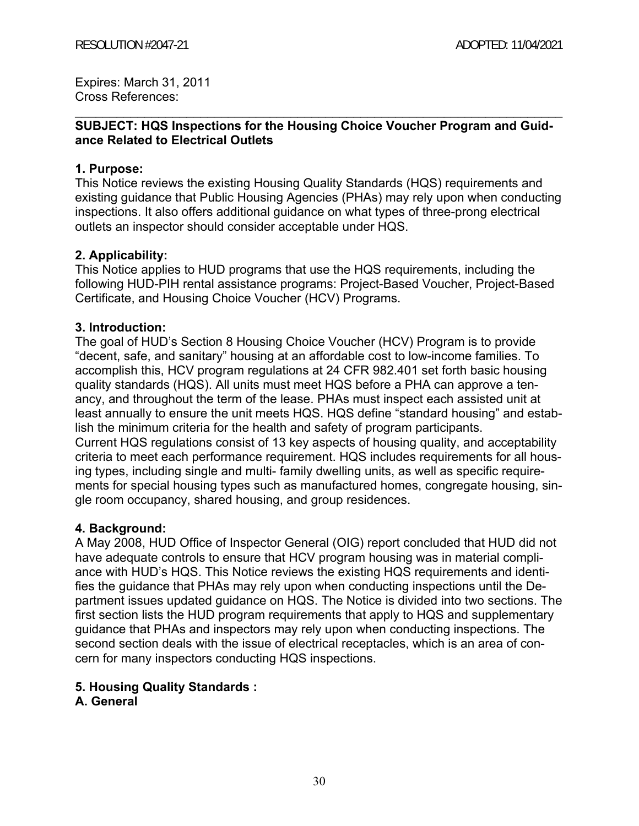Expires: March 31, 2011 Cross References:

## **SUBJECT: HQS Inspections for the Housing Choice Voucher Program and Guidance Related to Electrical Outlets**

 $\mathcal{L}_\mathcal{L} = \{ \mathcal{L}_\mathcal{L} = \{ \mathcal{L}_\mathcal{L} = \{ \mathcal{L}_\mathcal{L} = \{ \mathcal{L}_\mathcal{L} = \{ \mathcal{L}_\mathcal{L} = \{ \mathcal{L}_\mathcal{L} = \{ \mathcal{L}_\mathcal{L} = \{ \mathcal{L}_\mathcal{L} = \{ \mathcal{L}_\mathcal{L} = \{ \mathcal{L}_\mathcal{L} = \{ \mathcal{L}_\mathcal{L} = \{ \mathcal{L}_\mathcal{L} = \{ \mathcal{L}_\mathcal{L} = \{ \mathcal{L}_\mathcal{$ 

#### **1. Purpose:**

This Notice reviews the existing Housing Quality Standards (HQS) requirements and existing guidance that Public Housing Agencies (PHAs) may rely upon when conducting inspections. It also offers additional guidance on what types of three-prong electrical outlets an inspector should consider acceptable under HQS.

#### **2. Applicability:**

This Notice applies to HUD programs that use the HQS requirements, including the following HUD-PIH rental assistance programs: Project-Based Voucher, Project-Based Certificate, and Housing Choice Voucher (HCV) Programs.

#### **3. Introduction:**

The goal of HUD's Section 8 Housing Choice Voucher (HCV) Program is to provide "decent, safe, and sanitary" housing at an affordable cost to low-income families. To accomplish this, HCV program regulations at 24 CFR 982.401 set forth basic housing quality standards (HQS). All units must meet HQS before a PHA can approve a tenancy, and throughout the term of the lease. PHAs must inspect each assisted unit at least annually to ensure the unit meets HQS. HQS define "standard housing" and establish the minimum criteria for the health and safety of program participants. Current HQS regulations consist of 13 key aspects of housing quality, and acceptability criteria to meet each performance requirement. HQS includes requirements for all housing types, including single and multi- family dwelling units, as well as specific requirements for special housing types such as manufactured homes, congregate housing, single room occupancy, shared housing, and group residences.

#### **4. Background:**

A May 2008, HUD Office of Inspector General (OIG) report concluded that HUD did not have adequate controls to ensure that HCV program housing was in material compliance with HUD's HQS. This Notice reviews the existing HQS requirements and identifies the guidance that PHAs may rely upon when conducting inspections until the Department issues updated guidance on HQS. The Notice is divided into two sections. The first section lists the HUD program requirements that apply to HQS and supplementary guidance that PHAs and inspectors may rely upon when conducting inspections. The second section deals with the issue of electrical receptacles, which is an area of concern for many inspectors conducting HQS inspections.

## **5. Housing Quality Standards :**

#### **A. General**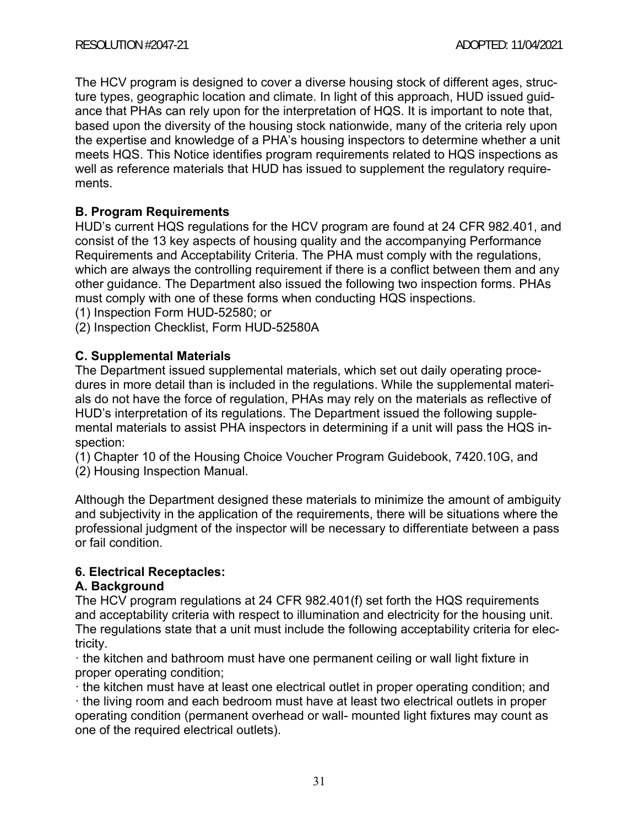The HCV program is designed to cover a diverse housing stock of different ages, structure types, geographic location and climate. In light of this approach, HUD issued guidance that PHAs can rely upon for the interpretation of HQS. It is important to note that, based upon the diversity of the housing stock nationwide, many of the criteria rely upon the expertise and knowledge of a PHA's housing inspectors to determine whether a unit meets HQS. This Notice identifies program requirements related to HQS inspections as well as reference materials that HUD has issued to supplement the regulatory requirements.

## **B. Program Requirements**

HUD's current HQS regulations for the HCV program are found at 24 CFR 982.401, and consist of the 13 key aspects of housing quality and the accompanying Performance Requirements and Acceptability Criteria. The PHA must comply with the regulations, which are always the controlling requirement if there is a conflict between them and any other guidance. The Department also issued the following two inspection forms. PHAs must comply with one of these forms when conducting HQS inspections.

(1) Inspection Form HUD-52580; or

(2) Inspection Checklist, Form HUD-52580A

## **C. Supplemental Materials**

The Department issued supplemental materials, which set out daily operating procedures in more detail than is included in the regulations. While the supplemental materials do not have the force of regulation, PHAs may rely on the materials as reflective of HUD's interpretation of its regulations. The Department issued the following supplemental materials to assist PHA inspectors in determining if a unit will pass the HQS inspection:

(1) Chapter 10 of the Housing Choice Voucher Program Guidebook, 7420.10G, and

(2) Housing Inspection Manual.

Although the Department designed these materials to minimize the amount of ambiguity and subjectivity in the application of the requirements, there will be situations where the professional judgment of the inspector will be necessary to differentiate between a pass or fail condition.

## **6. Electrical Receptacles:**

## **A. Background**

The HCV program regulations at 24 CFR 982.401(f) set forth the HQS requirements and acceptability criteria with respect to illumination and electricity for the housing unit. The regulations state that a unit must include the following acceptability criteria for electricity.

ꞏ the kitchen and bathroom must have one permanent ceiling or wall light fixture in proper operating condition;

ꞏ the kitchen must have at least one electrical outlet in proper operating condition; and ꞏ the living room and each bedroom must have at least two electrical outlets in proper operating condition (permanent overhead or wall- mounted light fixtures may count as one of the required electrical outlets).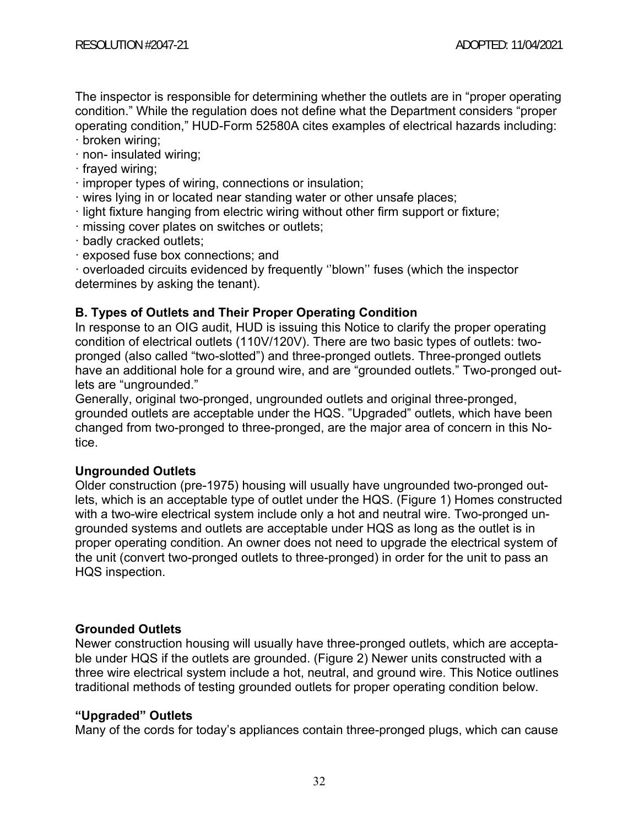The inspector is responsible for determining whether the outlets are in "proper operating condition." While the regulation does not define what the Department considers "proper operating condition," HUD-Form 52580A cites examples of electrical hazards including:

- ꞏ broken wiring;
- ꞏ non- insulated wiring;
- frayed wiring;
- ꞏ improper types of wiring, connections or insulation;
- ꞏ wires lying in or located near standing water or other unsafe places;
- ꞏ light fixture hanging from electric wiring without other firm support or fixture;
- ꞏ missing cover plates on switches or outlets;
- ꞏ badly cracked outlets;
- ꞏ exposed fuse box connections; and

ꞏ overloaded circuits evidenced by frequently ''blown'' fuses (which the inspector determines by asking the tenant).

## **B. Types of Outlets and Their Proper Operating Condition**

In response to an OIG audit, HUD is issuing this Notice to clarify the proper operating condition of electrical outlets (110V/120V). There are two basic types of outlets: twopronged (also called "two-slotted") and three-pronged outlets. Three-pronged outlets have an additional hole for a ground wire, and are "grounded outlets." Two-pronged outlets are "ungrounded."

Generally, original two-pronged, ungrounded outlets and original three-pronged, grounded outlets are acceptable under the HQS. "Upgraded" outlets, which have been changed from two-pronged to three-pronged, are the major area of concern in this Notice.

## **Ungrounded Outlets**

Older construction (pre-1975) housing will usually have ungrounded two-pronged outlets, which is an acceptable type of outlet under the HQS. (Figure 1) Homes constructed with a two-wire electrical system include only a hot and neutral wire. Two-pronged ungrounded systems and outlets are acceptable under HQS as long as the outlet is in proper operating condition. An owner does not need to upgrade the electrical system of the unit (convert two-pronged outlets to three-pronged) in order for the unit to pass an HQS inspection.

## **Grounded Outlets**

Newer construction housing will usually have three-pronged outlets, which are acceptable under HQS if the outlets are grounded. (Figure 2) Newer units constructed with a three wire electrical system include a hot, neutral, and ground wire. This Notice outlines traditional methods of testing grounded outlets for proper operating condition below.

## **"Upgraded" Outlets**

Many of the cords for today's appliances contain three-pronged plugs, which can cause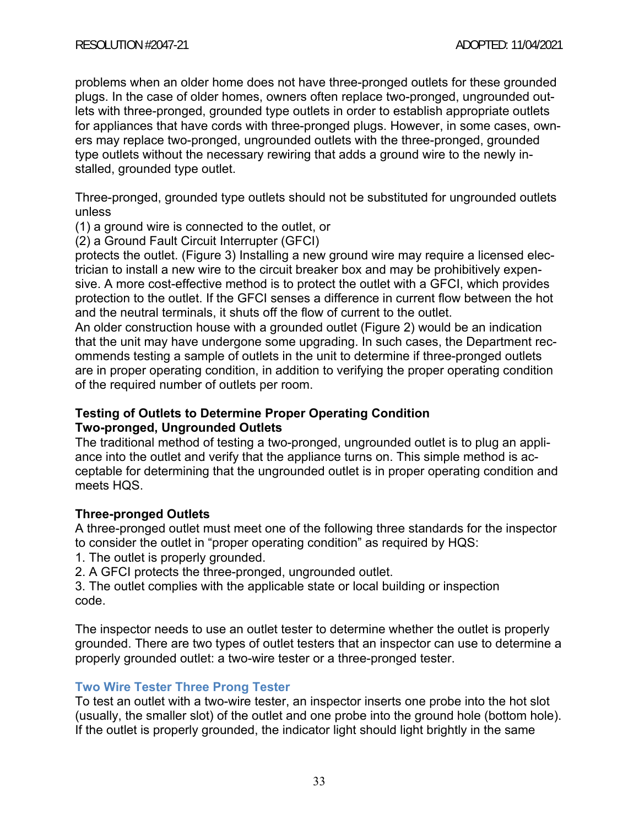problems when an older home does not have three-pronged outlets for these grounded plugs. In the case of older homes, owners often replace two-pronged, ungrounded outlets with three-pronged, grounded type outlets in order to establish appropriate outlets for appliances that have cords with three-pronged plugs. However, in some cases, owners may replace two-pronged, ungrounded outlets with the three-pronged, grounded type outlets without the necessary rewiring that adds a ground wire to the newly installed, grounded type outlet.

Three-pronged, grounded type outlets should not be substituted for ungrounded outlets unless

(1) a ground wire is connected to the outlet, or

(2) a Ground Fault Circuit Interrupter (GFCI)

protects the outlet. (Figure 3) Installing a new ground wire may require a licensed electrician to install a new wire to the circuit breaker box and may be prohibitively expensive. A more cost-effective method is to protect the outlet with a GFCI, which provides protection to the outlet. If the GFCI senses a difference in current flow between the hot and the neutral terminals, it shuts off the flow of current to the outlet.

An older construction house with a grounded outlet (Figure 2) would be an indication that the unit may have undergone some upgrading. In such cases, the Department recommends testing a sample of outlets in the unit to determine if three-pronged outlets are in proper operating condition, in addition to verifying the proper operating condition of the required number of outlets per room.

#### **Testing of Outlets to Determine Proper Operating Condition Two-pronged, Ungrounded Outlets**

The traditional method of testing a two-pronged, ungrounded outlet is to plug an appliance into the outlet and verify that the appliance turns on. This simple method is acceptable for determining that the ungrounded outlet is in proper operating condition and meets HQS.

## **Three-pronged Outlets**

A three-pronged outlet must meet one of the following three standards for the inspector to consider the outlet in "proper operating condition" as required by HQS:

- 1. The outlet is properly grounded.
- 2. A GFCI protects the three-pronged, ungrounded outlet.

3. The outlet complies with the applicable state or local building or inspection code.

The inspector needs to use an outlet tester to determine whether the outlet is properly grounded. There are two types of outlet testers that an inspector can use to determine a properly grounded outlet: a two-wire tester or a three-pronged tester.

## **Two Wire Tester Three Prong Tester**

To test an outlet with a two-wire tester, an inspector inserts one probe into the hot slot (usually, the smaller slot) of the outlet and one probe into the ground hole (bottom hole). If the outlet is properly grounded, the indicator light should light brightly in the same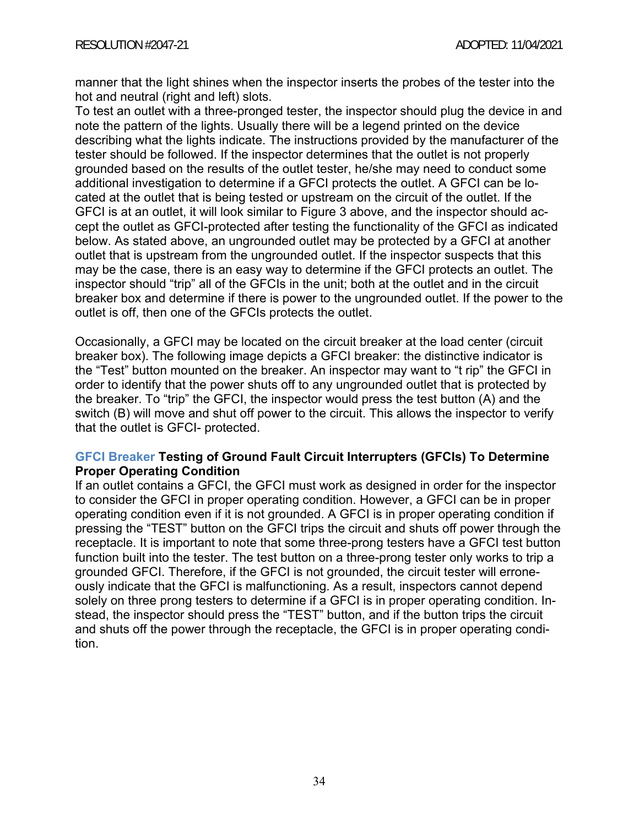manner that the light shines when the inspector inserts the probes of the tester into the hot and neutral (right and left) slots.

To test an outlet with a three-pronged tester, the inspector should plug the device in and note the pattern of the lights. Usually there will be a legend printed on the device describing what the lights indicate. The instructions provided by the manufacturer of the tester should be followed. If the inspector determines that the outlet is not properly grounded based on the results of the outlet tester, he/she may need to conduct some additional investigation to determine if a GFCI protects the outlet. A GFCI can be located at the outlet that is being tested or upstream on the circuit of the outlet. If the GFCI is at an outlet, it will look similar to Figure 3 above, and the inspector should accept the outlet as GFCI-protected after testing the functionality of the GFCI as indicated below. As stated above, an ungrounded outlet may be protected by a GFCI at another outlet that is upstream from the ungrounded outlet. If the inspector suspects that this may be the case, there is an easy way to determine if the GFCI protects an outlet. The inspector should "trip" all of the GFCIs in the unit; both at the outlet and in the circuit breaker box and determine if there is power to the ungrounded outlet. If the power to the outlet is off, then one of the GFCIs protects the outlet.

Occasionally, a GFCI may be located on the circuit breaker at the load center (circuit breaker box). The following image depicts a GFCI breaker: the distinctive indicator is the "Test" button mounted on the breaker. An inspector may want to "t rip" the GFCI in order to identify that the power shuts off to any ungrounded outlet that is protected by the breaker. To "trip" the GFCI, the inspector would press the test button (A) and the switch (B) will move and shut off power to the circuit. This allows the inspector to verify that the outlet is GFCI- protected.

#### **GFCI Breaker Testing of Ground Fault Circuit Interrupters (GFCIs) To Determine Proper Operating Condition**

If an outlet contains a GFCI, the GFCI must work as designed in order for the inspector to consider the GFCI in proper operating condition. However, a GFCI can be in proper operating condition even if it is not grounded. A GFCI is in proper operating condition if pressing the "TEST" button on the GFCI trips the circuit and shuts off power through the receptacle. It is important to note that some three-prong testers have a GFCI test button function built into the tester. The test button on a three-prong tester only works to trip a grounded GFCI. Therefore, if the GFCI is not grounded, the circuit tester will erroneously indicate that the GFCI is malfunctioning. As a result, inspectors cannot depend solely on three prong testers to determine if a GFCI is in proper operating condition. Instead, the inspector should press the "TEST" button, and if the button trips the circuit and shuts off the power through the receptacle, the GFCI is in proper operating condition.